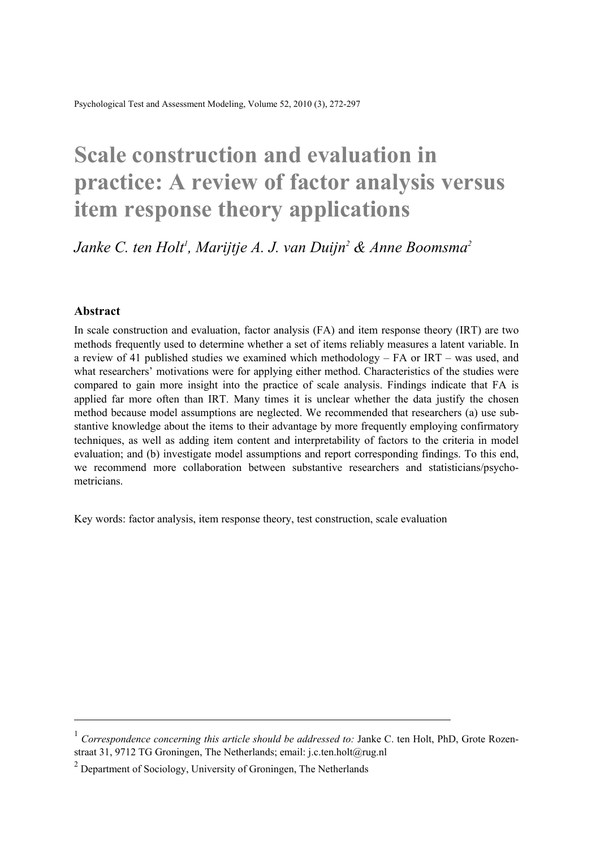Psychological Test and Assessment Modeling, Volume 52, 2010 (3), 272-297

# **Scale construction and evaluation in practice: A review of factor analysis versus item response theory applications**

Janke C. ten Holt<sup>1</sup>, Marijtje A. J. van Duijn<sup>2</sup> & Anne Boomsma<sup>2</sup>

#### **Abstract**

 $\overline{a}$ 

In scale construction and evaluation, factor analysis (FA) and item response theory (IRT) are two methods frequently used to determine whether a set of items reliably measures a latent variable. In a review of 41 published studies we examined which methodology – FA or IRT – was used, and what researchers' motivations were for applying either method. Characteristics of the studies were compared to gain more insight into the practice of scale analysis. Findings indicate that FA is applied far more often than IRT. Many times it is unclear whether the data justify the chosen method because model assumptions are neglected. We recommended that researchers (a) use substantive knowledge about the items to their advantage by more frequently employing confirmatory techniques, as well as adding item content and interpretability of factors to the criteria in model evaluation; and (b) investigate model assumptions and report corresponding findings. To this end, we recommend more collaboration between substantive researchers and statisticians/psychometricians.

Key words: factor analysis, item response theory, test construction, scale evaluation

<sup>&</sup>lt;sup>1</sup> *Correspondence concerning this article should be addressed to: Janke C. ten Holt, PhD, Grote Rozen*straat 31, 9712 TG Groningen, The Netherlands; email: j.c.ten.holt@rug.nl

 $2$  Department of Sociology, University of Groningen, The Netherlands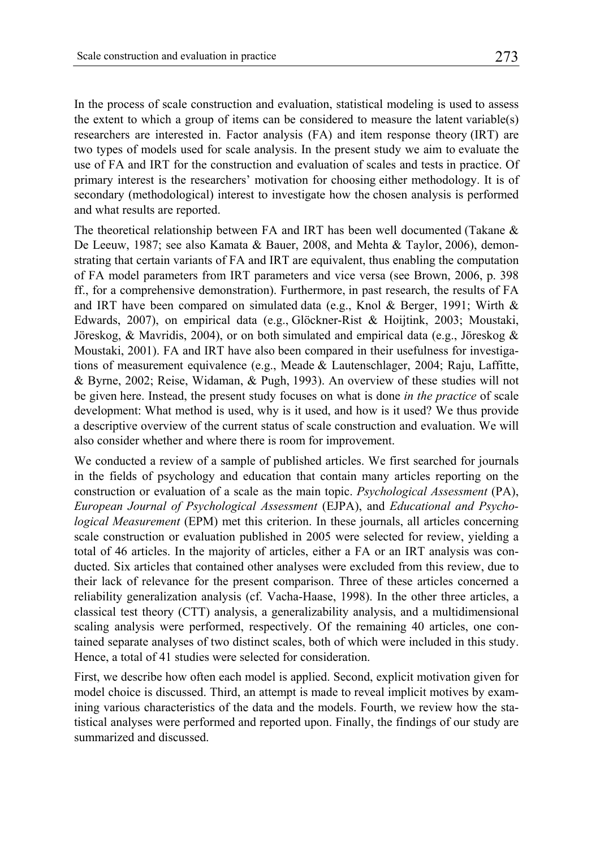In the process of scale construction and evaluation, statistical modeling is used to assess the extent to which a group of items can be considered to measure the latent variable(s) researchers are interested in. Factor analysis (FA) and item response theory (IRT) are two types of models used for scale analysis. In the present study we aim to evaluate the use of FA and IRT for the construction and evaluation of scales and tests in practice. Of primary interest is the researchers' motivation for choosing either methodology. It is of secondary (methodological) interest to investigate how the chosen analysis is performed and what results are reported.

The theoretical relationship between FA and IRT has been well documented (Takane & De Leeuw, 1987; see also Kamata & Bauer, 2008, and Mehta & Taylor, 2006), demonstrating that certain variants of FA and IRT are equivalent, thus enabling the computation of FA model parameters from IRT parameters and vice versa (see Brown, 2006, p. 398 ff., for a comprehensive demonstration). Furthermore, in past research, the results of FA and IRT have been compared on simulated data (e.g., Knol & Berger, 1991; Wirth & Edwards, 2007), on empirical data (e.g., Glöckner-Rist & Hoijtink, 2003; Moustaki, Jöreskog,  $\&$  Mavridis, 2004), or on both simulated and empirical data (e.g., Jöreskog  $\&$ Moustaki, 2001). FA and IRT have also been compared in their usefulness for investigations of measurement equivalence (e.g., Meade & Lautenschlager, 2004; Raju, Laffitte, & Byrne, 2002; Reise, Widaman, & Pugh, 1993). An overview of these studies will not be given here. Instead, the present study focuses on what is done *in the practice* of scale development: What method is used, why is it used, and how is it used? We thus provide a descriptive overview of the current status of scale construction and evaluation. We will also consider whether and where there is room for improvement.

We conducted a review of a sample of published articles. We first searched for journals in the fields of psychology and education that contain many articles reporting on the construction or evaluation of a scale as the main topic. *Psychological Assessment* (PA), *European Journal of Psychological Assessment* (EJPA), and *Educational and Psychological Measurement* (EPM) met this criterion. In these journals, all articles concerning scale construction or evaluation published in 2005 were selected for review, yielding a total of 46 articles. In the majority of articles, either a FA or an IRT analysis was conducted. Six articles that contained other analyses were excluded from this review, due to their lack of relevance for the present comparison. Three of these articles concerned a reliability generalization analysis (cf. Vacha-Haase, 1998). In the other three articles, a classical test theory (CTT) analysis, a generalizability analysis, and a multidimensional scaling analysis were performed, respectively. Of the remaining 40 articles, one contained separate analyses of two distinct scales, both of which were included in this study. Hence, a total of 41 studies were selected for consideration.

First, we describe how often each model is applied. Second, explicit motivation given for model choice is discussed. Third, an attempt is made to reveal implicit motives by examining various characteristics of the data and the models. Fourth, we review how the statistical analyses were performed and reported upon. Finally, the findings of our study are summarized and discussed.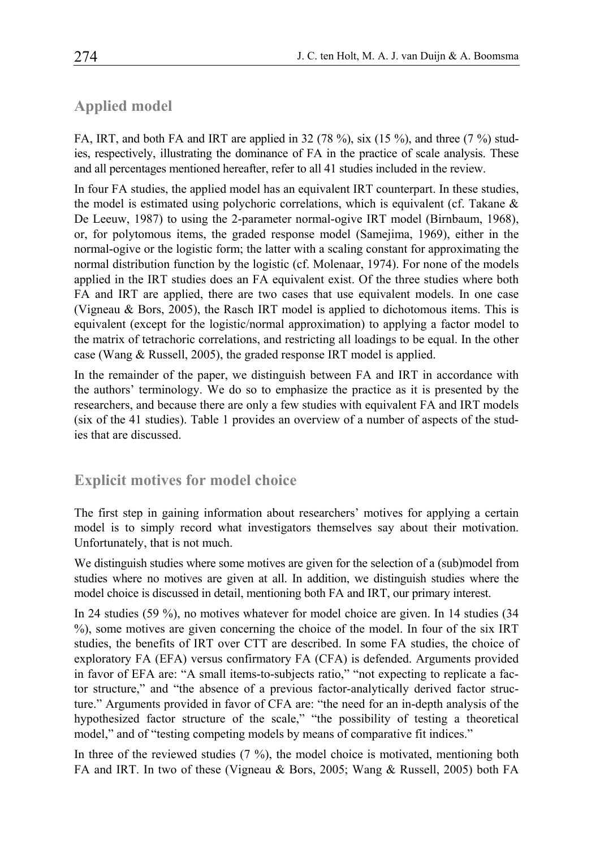## **Applied model**

FA, IRT, and both FA and IRT are applied in 32 (78 %), six (15 %), and three (7 %) studies, respectively, illustrating the dominance of FA in the practice of scale analysis. These and all percentages mentioned hereafter, refer to all 41 studies included in the review.

In four FA studies, the applied model has an equivalent IRT counterpart. In these studies, the model is estimated using polychoric correlations, which is equivalent (cf. Takane  $\&$ De Leeuw, 1987) to using the 2-parameter normal-ogive IRT model (Birnbaum, 1968), or, for polytomous items, the graded response model (Samejima, 1969), either in the normal-ogive or the logistic form; the latter with a scaling constant for approximating the normal distribution function by the logistic (cf. Molenaar, 1974). For none of the models applied in the IRT studies does an FA equivalent exist. Of the three studies where both FA and IRT are applied, there are two cases that use equivalent models. In one case (Vigneau & Bors, 2005), the Rasch IRT model is applied to dichotomous items. This is equivalent (except for the logistic/normal approximation) to applying a factor model to the matrix of tetrachoric correlations, and restricting all loadings to be equal. In the other case (Wang & Russell, 2005), the graded response IRT model is applied.

In the remainder of the paper, we distinguish between FA and IRT in accordance with the authors' terminology. We do so to emphasize the practice as it is presented by the researchers, and because there are only a few studies with equivalent FA and IRT models (six of the 41 studies). Table 1 provides an overview of a number of aspects of the studies that are discussed.

## **Explicit motives for model choice**

The first step in gaining information about researchers' motives for applying a certain model is to simply record what investigators themselves say about their motivation. Unfortunately, that is not much.

We distinguish studies where some motives are given for the selection of a (sub)model from studies where no motives are given at all. In addition, we distinguish studies where the model choice is discussed in detail, mentioning both FA and IRT, our primary interest.

In 24 studies (59 %), no motives whatever for model choice are given. In 14 studies (34 %), some motives are given concerning the choice of the model. In four of the six IRT studies, the benefits of IRT over CTT are described. In some FA studies, the choice of exploratory FA (EFA) versus confirmatory FA (CFA) is defended. Arguments provided in favor of EFA are: "A small items-to-subjects ratio," "not expecting to replicate a factor structure," and "the absence of a previous factor-analytically derived factor structure." Arguments provided in favor of CFA are: "the need for an in-depth analysis of the hypothesized factor structure of the scale," "the possibility of testing a theoretical model," and of "testing competing models by means of comparative fit indices."

In three of the reviewed studies (7 %), the model choice is motivated, mentioning both FA and IRT. In two of these (Vigneau & Bors, 2005; Wang & Russell, 2005) both FA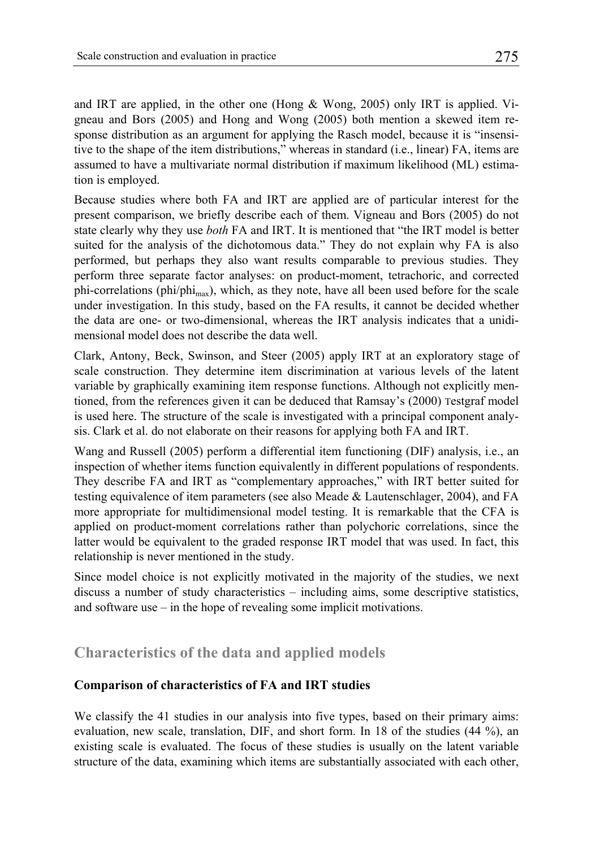and IRT are applied, in the other one (Hong & Wong, 2005) only IRT is applied. Vigneau and Bors (2005) and Hong and Wong (2005) both mention a skewed item response distribution as an argument for applying the Rasch model, because it is "insensitive to the shape of the item distributions," whereas in standard (i.e., linear) FA, items are assumed to have a multivariate normal distribution if maximum likelihood (ML) estimation is employed.

Because studies where both FA and IRT are applied are of particular interest for the present comparison, we briefly describe each of them. Vigneau and Bors (2005) do not state clearly why they use *both* FA and IRT. It is mentioned that "the IRT model is better suited for the analysis of the dichotomous data." They do not explain why FA is also performed, but perhaps they also want results comparable to previous studies. They perform three separate factor analyses: on product-moment, tetrachoric, and corrected phi-correlations (phi/phi<sub>max</sub>), which, as they note, have all been used before for the scale under investigation. In this study, based on the FA results, it cannot be decided whether the data are one- or two-dimensional, whereas the IRT analysis indicates that a unidimensional model does not describe the data well.

Clark, Antony, Beck, Swinson, and Steer (2005) apply IRT at an exploratory stage of scale construction. They determine item discrimination at various levels of the latent variable by graphically examining item response functions. Although not explicitly mentioned, from the references given it can be deduced that Ramsay's (2000) Testgraf model is used here. The structure of the scale is investigated with a principal component analysis. Clark et al. do not elaborate on their reasons for applying both FA and IRT.

Wang and Russell (2005) perform a differential item functioning (DIF) analysis, i.e., an inspection of whether items function equivalently in different populations of respondents. They describe FA and IRT as "complementary approaches," with IRT better suited for testing equivalence of item parameters (see also Meade & Lautenschlager, 2004), and FA more appropriate for multidimensional model testing. It is remarkable that the CFA is applied on product-moment correlations rather than polychoric correlations, since the latter would be equivalent to the graded response IRT model that was used. In fact, this relationship is never mentioned in the study.

Since model choice is not explicitly motivated in the majority of the studies, we next discuss a number of study characteristics – including aims, some descriptive statistics, and software use – in the hope of revealing some implicit motivations.

# **Characteristics of the data and applied models**

## **Comparison of characteristics of FA and IRT studies**

We classify the 41 studies in our analysis into five types, based on their primary aims: evaluation, new scale, translation, DIF, and short form. In 18 of the studies (44 %), an existing scale is evaluated. The focus of these studies is usually on the latent variable structure of the data, examining which items are substantially associated with each other,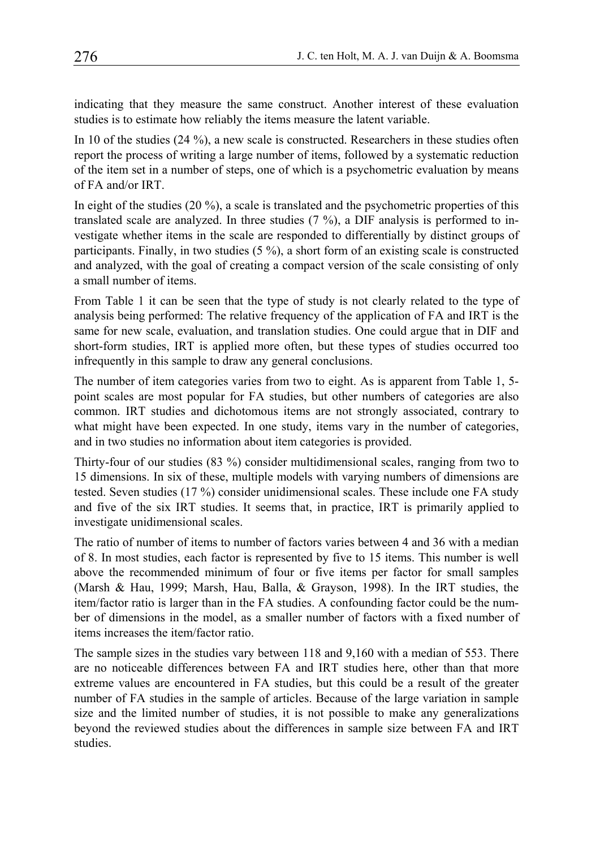indicating that they measure the same construct. Another interest of these evaluation studies is to estimate how reliably the items measure the latent variable.

In 10 of the studies (24 %), a new scale is constructed. Researchers in these studies often report the process of writing a large number of items, followed by a systematic reduction of the item set in a number of steps, one of which is a psychometric evaluation by means of FA and/or IRT.

In eight of the studies  $(20 \%)$ , a scale is translated and the psychometric properties of this translated scale are analyzed. In three studies (7 %), a DIF analysis is performed to investigate whether items in the scale are responded to differentially by distinct groups of participants. Finally, in two studies (5 %), a short form of an existing scale is constructed and analyzed, with the goal of creating a compact version of the scale consisting of only a small number of items.

From Table 1 it can be seen that the type of study is not clearly related to the type of analysis being performed: The relative frequency of the application of FA and IRT is the same for new scale, evaluation, and translation studies. One could argue that in DIF and short-form studies, IRT is applied more often, but these types of studies occurred too infrequently in this sample to draw any general conclusions.

The number of item categories varies from two to eight. As is apparent from Table 1, 5 point scales are most popular for FA studies, but other numbers of categories are also common. IRT studies and dichotomous items are not strongly associated, contrary to what might have been expected. In one study, items vary in the number of categories, and in two studies no information about item categories is provided.

Thirty-four of our studies (83 %) consider multidimensional scales, ranging from two to 15 dimensions. In six of these, multiple models with varying numbers of dimensions are tested. Seven studies (17 %) consider unidimensional scales. These include one FA study and five of the six IRT studies. It seems that, in practice, IRT is primarily applied to investigate unidimensional scales.

The ratio of number of items to number of factors varies between 4 and 36 with a median of 8. In most studies, each factor is represented by five to 15 items. This number is well above the recommended minimum of four or five items per factor for small samples (Marsh & Hau, 1999; Marsh, Hau, Balla, & Grayson, 1998). In the IRT studies, the item/factor ratio is larger than in the FA studies. A confounding factor could be the number of dimensions in the model, as a smaller number of factors with a fixed number of items increases the item/factor ratio.

The sample sizes in the studies vary between 118 and 9,160 with a median of 553. There are no noticeable differences between FA and IRT studies here, other than that more extreme values are encountered in FA studies, but this could be a result of the greater number of FA studies in the sample of articles. Because of the large variation in sample size and the limited number of studies, it is not possible to make any generalizations beyond the reviewed studies about the differences in sample size between FA and IRT studies.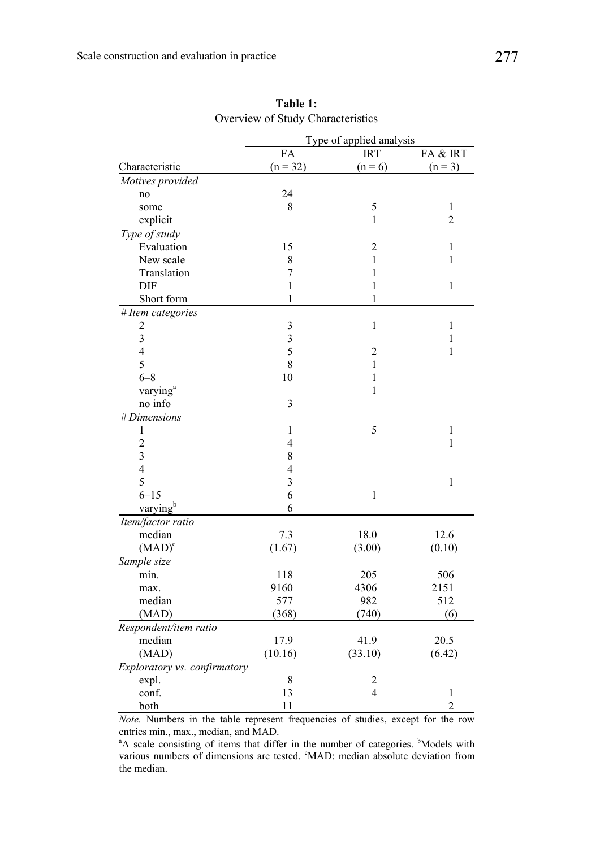|                              | Type of applied analysis |                         |                |
|------------------------------|--------------------------|-------------------------|----------------|
|                              | FA                       | <b>IRT</b>              | FA & IRT       |
| Characteristic               | $(n = 32)$               | $(n = 6)$               | $(n = 3)$      |
| Motives provided             |                          |                         |                |
| no                           | 24                       |                         |                |
| some                         | 8                        | 5                       | $\mathbf{1}$   |
| explicit                     |                          | 1                       | $\overline{c}$ |
| Type of study                |                          |                         |                |
| Evaluation                   | 15                       | $\overline{2}$          | $\mathbf{1}$   |
| New scale                    | 8                        | $\mathbf{1}$            | $\mathbf{1}$   |
| Translation                  | $\overline{7}$           | 1                       |                |
| DIF                          | 1                        | $\mathbf{1}$            | $\mathbf{1}$   |
| Short form                   | $\mathbf{1}$             | $\mathbf{1}$            |                |
| # Item categories            |                          |                         |                |
|                              | 3                        | $\mathbf{1}$            | $\mathbf{1}$   |
| $\frac{2}{3}$                | $\overline{\mathbf{3}}$  |                         | $\,1$          |
| $\overline{4}$               | 5                        | $\overline{2}$          | $\,1$          |
| 5                            | 8                        | 1                       |                |
| $6 - 8$                      | 10                       | $\mathbf{1}$            |                |
| varying <sup>a</sup>         |                          | $\mathbf{1}$            |                |
| no info                      | 3                        |                         |                |
| # Dimensions                 |                          |                         |                |
| $\mathbf{1}$                 | 1                        | 5                       | $\mathbf{1}$   |
| $\overline{c}$               | $\overline{4}$           |                         | 1              |
| $\overline{\mathbf{3}}$      | 8                        |                         |                |
| $\overline{4}$               | $\overline{4}$           |                         |                |
| 5                            | 3                        |                         | 1              |
| $6 - 15$                     | 6                        | $\mathbf{1}$            |                |
| varying <sup>b</sup>         | 6                        |                         |                |
| Item/factor ratio            |                          |                         |                |
| median                       | 7.3                      | 18.0                    | 12.6           |
| (MAD) <sup>c</sup>           | (1.67)                   | (3.00)                  | (0.10)         |
| Sample size                  |                          |                         |                |
| min.                         | 118                      | 205                     | 506            |
| max.                         | 9160                     | 4306                    | 2151           |
| median                       | 577                      | 982                     | 512            |
| (MAD)                        | (368)                    | (740)                   | (6)            |
| Respondent/item ratio        |                          |                         |                |
| median                       | 17.9                     | 41.9                    | 20.5           |
| (MAD)                        | (10.16)                  | (33.10)                 | (6.42)         |
| Exploratory vs. confirmatory |                          |                         |                |
| expl.                        | 8                        | $\overline{\mathbf{c}}$ |                |
| conf.                        | 13                       | $\overline{4}$          | $\mathbf{1}$   |
| both                         | 11                       |                         | $\overline{c}$ |

**Table 1:**  Overview of Study Characteristics

*Note.* Numbers in the table represent frequencies of studies, except for the row entries min., max., median, and MAD.

<sup>a</sup>A scale consisting of items that differ in the number of categories. <sup>b</sup>Models with various numbers of dimensions are tested. <sup>c</sup>MAD: median absolute deviation from the median.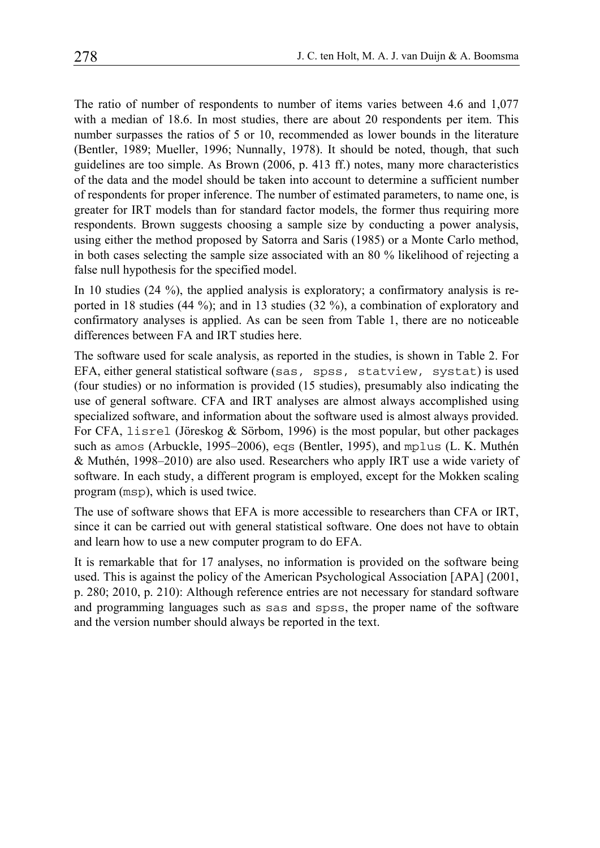The ratio of number of respondents to number of items varies between 4.6 and 1,077 with a median of 18.6. In most studies, there are about 20 respondents per item. This number surpasses the ratios of 5 or 10, recommended as lower bounds in the literature (Bentler, 1989; Mueller, 1996; Nunnally, 1978). It should be noted, though, that such guidelines are too simple. As Brown (2006, p. 413 ff.) notes, many more characteristics of the data and the model should be taken into account to determine a sufficient number of respondents for proper inference. The number of estimated parameters, to name one, is greater for IRT models than for standard factor models, the former thus requiring more respondents. Brown suggests choosing a sample size by conducting a power analysis, using either the method proposed by Satorra and Saris (1985) or a Monte Carlo method, in both cases selecting the sample size associated with an 80 % likelihood of rejecting a false null hypothesis for the specified model.

In 10 studies (24 %), the applied analysis is exploratory; a confirmatory analysis is reported in 18 studies (44 %); and in 13 studies (32 %), a combination of exploratory and confirmatory analyses is applied. As can be seen from Table 1, there are no noticeable differences between FA and IRT studies here.

The software used for scale analysis, as reported in the studies, is shown in Table 2. For EFA, either general statistical software (sas, spss, statview, systat) is used (four studies) or no information is provided (15 studies), presumably also indicating the use of general software. CFA and IRT analyses are almost always accomplished using specialized software, and information about the software used is almost always provided. For CFA, lisrel (Jöreskog & Sörbom, 1996) is the most popular, but other packages such as amos (Arbuckle, 1995–2006), eqs (Bentler, 1995), and mplus (L. K. Muthén & Muthén, 1998–2010) are also used. Researchers who apply IRT use a wide variety of software. In each study, a different program is employed, except for the Mokken scaling program (msp), which is used twice.

The use of software shows that EFA is more accessible to researchers than CFA or IRT, since it can be carried out with general statistical software. One does not have to obtain and learn how to use a new computer program to do EFA.

It is remarkable that for 17 analyses, no information is provided on the software being used. This is against the policy of the American Psychological Association [APA] (2001, p. 280; 2010, p. 210): Although reference entries are not necessary for standard software and programming languages such as sas and spss, the proper name of the software and the version number should always be reported in the text.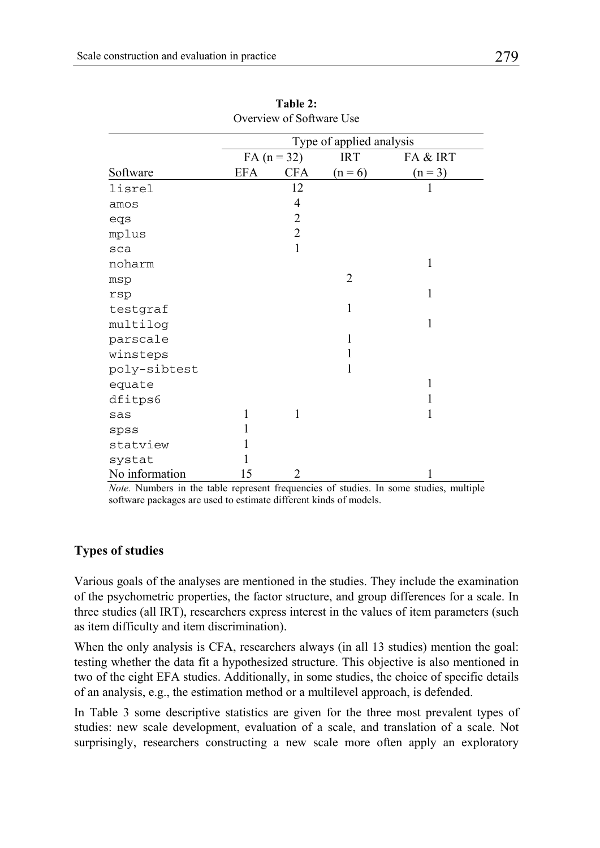|                | Type of applied analysis |                |            |              |  |
|----------------|--------------------------|----------------|------------|--------------|--|
|                |                          | $FA (n = 32)$  | <b>IRT</b> | FA & IRT     |  |
| Software       | <b>EFA</b>               | <b>CFA</b>     | $(n = 6)$  | $(n = 3)$    |  |
| lisrel         |                          | 12             |            | 1            |  |
| amos           |                          | 4              |            |              |  |
| eqs            |                          | $\overline{c}$ |            |              |  |
| mplus          |                          | $\overline{2}$ |            |              |  |
| sca            |                          | 1              |            |              |  |
| noharm         |                          |                |            | 1            |  |
| msp            |                          |                | 2          |              |  |
| rsp            |                          |                |            | 1            |  |
| testgraf       |                          |                | 1          |              |  |
| multilog       |                          |                |            | $\mathbf{1}$ |  |
| parscale       |                          |                | 1          |              |  |
| winsteps       |                          |                | 1          |              |  |
| poly-sibtest   |                          |                | 1          |              |  |
| equate         |                          |                |            | 1            |  |
| dfitps6        |                          |                |            |              |  |
| sas            | 1                        | 1              |            | 1            |  |
| spss           |                          |                |            |              |  |
| statview       |                          |                |            |              |  |
| systat         | 1                        |                |            |              |  |
| No information | 15                       | 2              |            | 1            |  |

**Table 2:** Overview of Software Use

*Note.* Numbers in the table represent frequencies of studies. In some studies, multiple software packages are used to estimate different kinds of models.

#### **Types of studies**

Various goals of the analyses are mentioned in the studies. They include the examination of the psychometric properties, the factor structure, and group differences for a scale. In three studies (all IRT), researchers express interest in the values of item parameters (such as item difficulty and item discrimination).

When the only analysis is CFA, researchers always (in all 13 studies) mention the goal: testing whether the data fit a hypothesized structure. This objective is also mentioned in two of the eight EFA studies. Additionally, in some studies, the choice of specific details of an analysis, e.g., the estimation method or a multilevel approach, is defended.

In Table 3 some descriptive statistics are given for the three most prevalent types of studies: new scale development, evaluation of a scale, and translation of a scale. Not surprisingly, researchers constructing a new scale more often apply an exploratory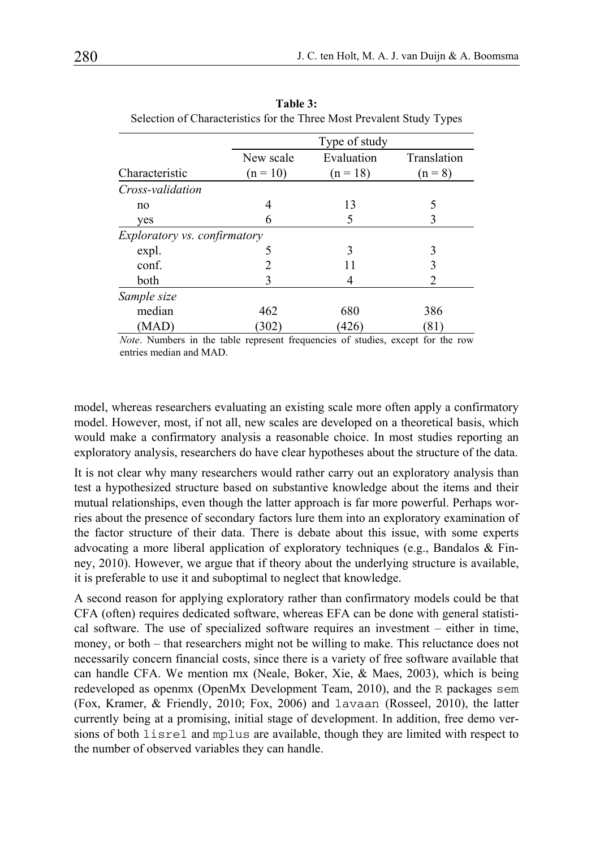|                              | Type of study |            |             |  |  |
|------------------------------|---------------|------------|-------------|--|--|
|                              | New scale     | Evaluation | Translation |  |  |
| Characteristic               | $(n = 10)$    | $(n = 18)$ | $(n = 8)$   |  |  |
| Cross-validation             |               |            |             |  |  |
| no                           | 4             | 13         | 5           |  |  |
| ves                          | 6             | 5          | 3           |  |  |
| Exploratory vs. confirmatory |               |            |             |  |  |
| expl.                        | 5             | 3          | 3           |  |  |
| conf.                        |               | 11         | 3           |  |  |
| both                         | 3             | 4          | 2           |  |  |
| Sample size                  |               |            |             |  |  |
| median                       | 462           | 680        | 386         |  |  |
| (MAD)                        | (302)         | (426)      | (81)        |  |  |

**Table 3:**  Selection of Characteristics for the Three Most Prevalent Study Types

*Note*. Numbers in the table represent frequencies of studies, except for the row entries median and MAD.

model, whereas researchers evaluating an existing scale more often apply a confirmatory model. However, most, if not all, new scales are developed on a theoretical basis, which would make a confirmatory analysis a reasonable choice. In most studies reporting an exploratory analysis, researchers do have clear hypotheses about the structure of the data.

It is not clear why many researchers would rather carry out an exploratory analysis than test a hypothesized structure based on substantive knowledge about the items and their mutual relationships, even though the latter approach is far more powerful. Perhaps worries about the presence of secondary factors lure them into an exploratory examination of the factor structure of their data. There is debate about this issue, with some experts advocating a more liberal application of exploratory techniques (e.g., Bandalos  $\&$  Finney, 2010). However, we argue that if theory about the underlying structure is available, it is preferable to use it and suboptimal to neglect that knowledge.

A second reason for applying exploratory rather than confirmatory models could be that CFA (often) requires dedicated software, whereas EFA can be done with general statistical software. The use of specialized software requires an investment – either in time, money, or both – that researchers might not be willing to make. This reluctance does not necessarily concern financial costs, since there is a variety of free software available that can handle CFA. We mention mx (Neale, Boker, Xie, & Maes, 2003), which is being redeveloped as openmx (OpenMx Development Team, 2010), and the R packages sem (Fox, Kramer, & Friendly, 2010; Fox, 2006) and lavaan (Rosseel, 2010), the latter currently being at a promising, initial stage of development. In addition, free demo versions of both lisrel and mplus are available, though they are limited with respect to the number of observed variables they can handle.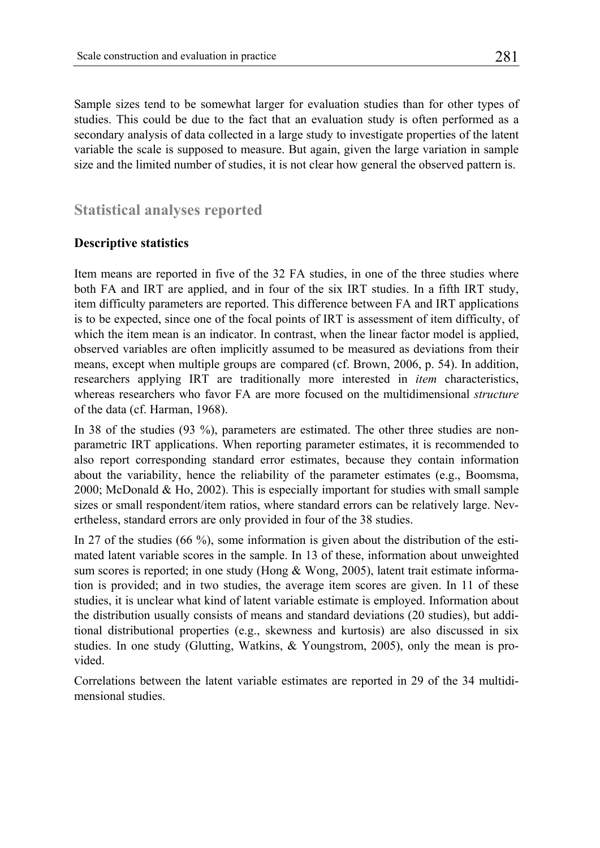Sample sizes tend to be somewhat larger for evaluation studies than for other types of studies. This could be due to the fact that an evaluation study is often performed as a secondary analysis of data collected in a large study to investigate properties of the latent variable the scale is supposed to measure. But again, given the large variation in sample size and the limited number of studies, it is not clear how general the observed pattern is.

## **Statistical analyses reported**

#### **Descriptive statistics**

Item means are reported in five of the 32 FA studies, in one of the three studies where both FA and IRT are applied, and in four of the six IRT studies. In a fifth IRT study, item difficulty parameters are reported. This difference between FA and IRT applications is to be expected, since one of the focal points of IRT is assessment of item difficulty, of which the item mean is an indicator. In contrast, when the linear factor model is applied, observed variables are often implicitly assumed to be measured as deviations from their means, except when multiple groups are compared (cf. Brown, 2006, p. 54). In addition, researchers applying IRT are traditionally more interested in *item* characteristics, whereas researchers who favor FA are more focused on the multidimensional *structure* of the data (cf. Harman, 1968).

In 38 of the studies (93 %), parameters are estimated. The other three studies are nonparametric IRT applications. When reporting parameter estimates, it is recommended to also report corresponding standard error estimates, because they contain information about the variability, hence the reliability of the parameter estimates (e.g., Boomsma, 2000; McDonald & Ho, 2002). This is especially important for studies with small sample sizes or small respondent/item ratios, where standard errors can be relatively large. Nevertheless, standard errors are only provided in four of the 38 studies.

In 27 of the studies (66 %), some information is given about the distribution of the estimated latent variable scores in the sample. In 13 of these, information about unweighted sum scores is reported; in one study (Hong  $&$  Wong, 2005), latent trait estimate information is provided; and in two studies, the average item scores are given. In 11 of these studies, it is unclear what kind of latent variable estimate is employed. Information about the distribution usually consists of means and standard deviations (20 studies), but additional distributional properties (e.g., skewness and kurtosis) are also discussed in six studies. In one study (Glutting, Watkins, & Youngstrom, 2005), only the mean is provided.

Correlations between the latent variable estimates are reported in 29 of the 34 multidimensional studies.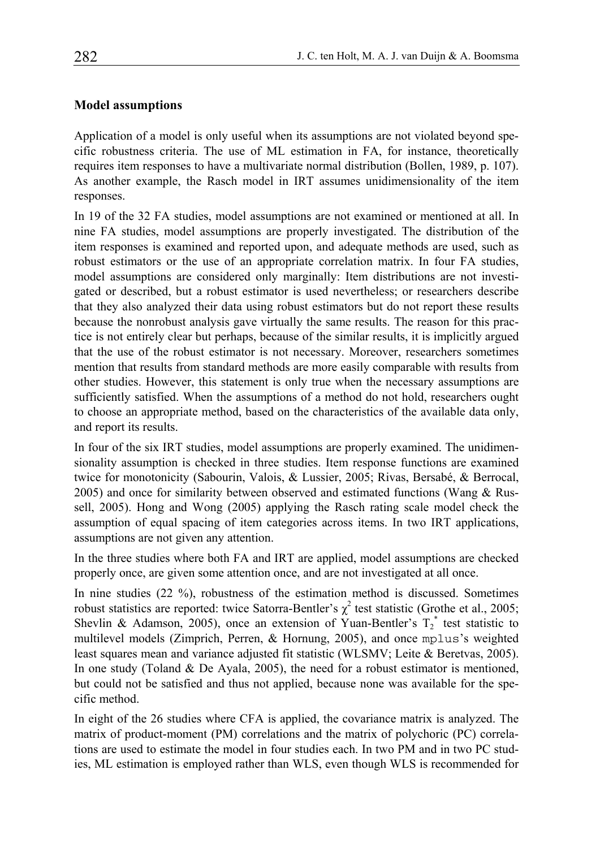#### **Model assumptions**

Application of a model is only useful when its assumptions are not violated beyond specific robustness criteria. The use of ML estimation in FA, for instance, theoretically requires item responses to have a multivariate normal distribution (Bollen, 1989, p. 107). As another example, the Rasch model in IRT assumes unidimensionality of the item responses.

In 19 of the 32 FA studies, model assumptions are not examined or mentioned at all. In nine FA studies, model assumptions are properly investigated. The distribution of the item responses is examined and reported upon, and adequate methods are used, such as robust estimators or the use of an appropriate correlation matrix. In four FA studies, model assumptions are considered only marginally: Item distributions are not investigated or described, but a robust estimator is used nevertheless; or researchers describe that they also analyzed their data using robust estimators but do not report these results because the nonrobust analysis gave virtually the same results. The reason for this practice is not entirely clear but perhaps, because of the similar results, it is implicitly argued that the use of the robust estimator is not necessary. Moreover, researchers sometimes mention that results from standard methods are more easily comparable with results from other studies. However, this statement is only true when the necessary assumptions are sufficiently satisfied. When the assumptions of a method do not hold, researchers ought to choose an appropriate method, based on the characteristics of the available data only, and report its results.

In four of the six IRT studies, model assumptions are properly examined. The unidimensionality assumption is checked in three studies. Item response functions are examined twice for monotonicity (Sabourin, Valois, & Lussier, 2005; Rivas, Bersabé, & Berrocal, 2005) and once for similarity between observed and estimated functions (Wang  $\&$  Russell, 2005). Hong and Wong (2005) applying the Rasch rating scale model check the assumption of equal spacing of item categories across items. In two IRT applications, assumptions are not given any attention.

In the three studies where both FA and IRT are applied, model assumptions are checked properly once, are given some attention once, and are not investigated at all once.

In nine studies (22 %), robustness of the estimation method is discussed. Sometimes robust statistics are reported: twice Satorra-Bentler's  $\chi^2$  test statistic (Grothe et al., 2005; Shevlin & Adamson, 2005), once an extension of Yuan-Bentler's  $T_2^*$  test statistic to multilevel models (Zimprich, Perren, & Hornung, 2005), and once mplus's weighted least squares mean and variance adjusted fit statistic (WLSMV; Leite & Beretvas, 2005). In one study (Toland & De Ayala, 2005), the need for a robust estimator is mentioned, but could not be satisfied and thus not applied, because none was available for the specific method.

In eight of the 26 studies where CFA is applied, the covariance matrix is analyzed. The matrix of product-moment (PM) correlations and the matrix of polychoric (PC) correlations are used to estimate the model in four studies each. In two PM and in two PC studies, ML estimation is employed rather than WLS, even though WLS is recommended for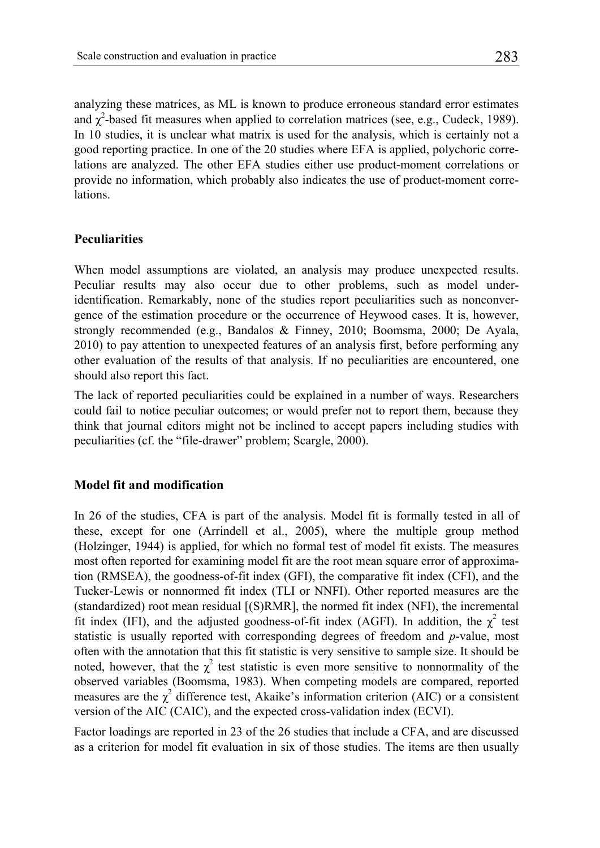analyzing these matrices, as ML is known to produce erroneous standard error estimates and  $\chi^2$ -based fit measures when applied to correlation matrices (see, e.g., Cudeck, 1989). In 10 studies, it is unclear what matrix is used for the analysis, which is certainly not a good reporting practice. In one of the 20 studies where EFA is applied, polychoric correlations are analyzed. The other EFA studies either use product-moment correlations or provide no information, which probably also indicates the use of product-moment correlations.

#### **Peculiarities**

When model assumptions are violated, an analysis may produce unexpected results. Peculiar results may also occur due to other problems, such as model underidentification. Remarkably, none of the studies report peculiarities such as nonconvergence of the estimation procedure or the occurrence of Heywood cases. It is, however, strongly recommended (e.g., Bandalos & Finney, 2010; Boomsma, 2000; De Ayala, 2010) to pay attention to unexpected features of an analysis first, before performing any other evaluation of the results of that analysis. If no peculiarities are encountered, one should also report this fact.

The lack of reported peculiarities could be explained in a number of ways. Researchers could fail to notice peculiar outcomes; or would prefer not to report them, because they think that journal editors might not be inclined to accept papers including studies with peculiarities (cf. the "file-drawer" problem; Scargle, 2000).

#### **Model fit and modification**

In 26 of the studies, CFA is part of the analysis. Model fit is formally tested in all of these, except for one (Arrindell et al., 2005), where the multiple group method (Holzinger, 1944) is applied, for which no formal test of model fit exists. The measures most often reported for examining model fit are the root mean square error of approximation (RMSEA), the goodness-of-fit index (GFI), the comparative fit index (CFI), and the Tucker-Lewis or nonnormed fit index (TLI or NNFI). Other reported measures are the (standardized) root mean residual [(S)RMR], the normed fit index (NFI), the incremental fit index (IFI), and the adjusted goodness-of-fit index (AGFI). In addition, the  $\chi^2$  test statistic is usually reported with corresponding degrees of freedom and *p*-value, most often with the annotation that this fit statistic is very sensitive to sample size. It should be noted, however, that the  $\chi^2$  test statistic is even more sensitive to nonnormality of the observed variables (Boomsma, 1983). When competing models are compared, reported measures are the  $\chi^2$  difference test, Akaike's information criterion (AIC) or a consistent version of the AIC (CAIC), and the expected cross-validation index (ECVI).

Factor loadings are reported in 23 of the 26 studies that include a CFA, and are discussed as a criterion for model fit evaluation in six of those studies. The items are then usually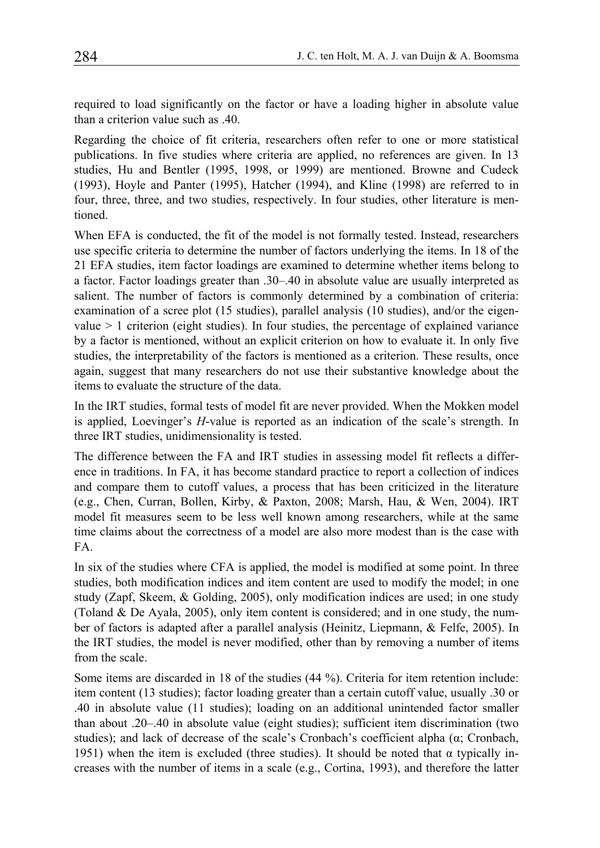required to load significantly on the factor or have a loading higher in absolute value than a criterion value such as .40.

Regarding the choice of fit criteria, researchers often refer to one or more statistical publications. In five studies where criteria are applied, no references are given. In 13 studies, Hu and Bentler (1995, 1998, or 1999) are mentioned. Browne and Cudeck (1993), Hoyle and Panter (1995), Hatcher (1994), and Kline (1998) are referred to in four, three, three, and two studies, respectively. In four studies, other literature is mentioned.

When EFA is conducted, the fit of the model is not formally tested. Instead, researchers use specific criteria to determine the number of factors underlying the items. In 18 of the 21 EFA studies, item factor loadings are examined to determine whether items belong to a factor. Factor loadings greater than .30–.40 in absolute value are usually interpreted as salient. The number of factors is commonly determined by a combination of criteria: examination of a scree plot (15 studies), parallel analysis (10 studies), and/or the eigenvalue  $> 1$  criterion (eight studies). In four studies, the percentage of explained variance by a factor is mentioned, without an explicit criterion on how to evaluate it. In only five studies, the interpretability of the factors is mentioned as a criterion. These results, once again, suggest that many researchers do not use their substantive knowledge about the items to evaluate the structure of the data.

In the IRT studies, formal tests of model fit are never provided. When the Mokken model is applied, Loevinger's *H*-value is reported as an indication of the scale's strength. In three IRT studies, unidimensionality is tested.

The difference between the FA and IRT studies in assessing model fit reflects a difference in traditions. In FA, it has become standard practice to report a collection of indices and compare them to cutoff values, a process that has been criticized in the literature (e.g., Chen, Curran, Bollen, Kirby, & Paxton, 2008; Marsh, Hau, & Wen, 2004). IRT model fit measures seem to be less well known among researchers, while at the same time claims about the correctness of a model are also more modest than is the case with FA.

In six of the studies where CFA is applied, the model is modified at some point. In three studies, both modification indices and item content are used to modify the model; in one study (Zapf, Skeem, & Golding, 2005), only modification indices are used; in one study (Toland & De Ayala, 2005), only item content is considered; and in one study, the number of factors is adapted after a parallel analysis (Heinitz, Liepmann, & Felfe, 2005). In the IRT studies, the model is never modified, other than by removing a number of items from the scale.

Some items are discarded in 18 of the studies (44 %). Criteria for item retention include: item content (13 studies); factor loading greater than a certain cutoff value, usually .30 or .40 in absolute value (11 studies); loading on an additional unintended factor smaller than about .20–.40 in absolute value (eight studies); sufficient item discrimination (two studies); and lack of decrease of the scale's Cronbach's coefficient alpha  $(\alpha; C$ ronbach, 1951) when the item is excluded (three studies). It should be noted that  $\alpha$  typically increases with the number of items in a scale (e.g., Cortina, 1993), and therefore the latter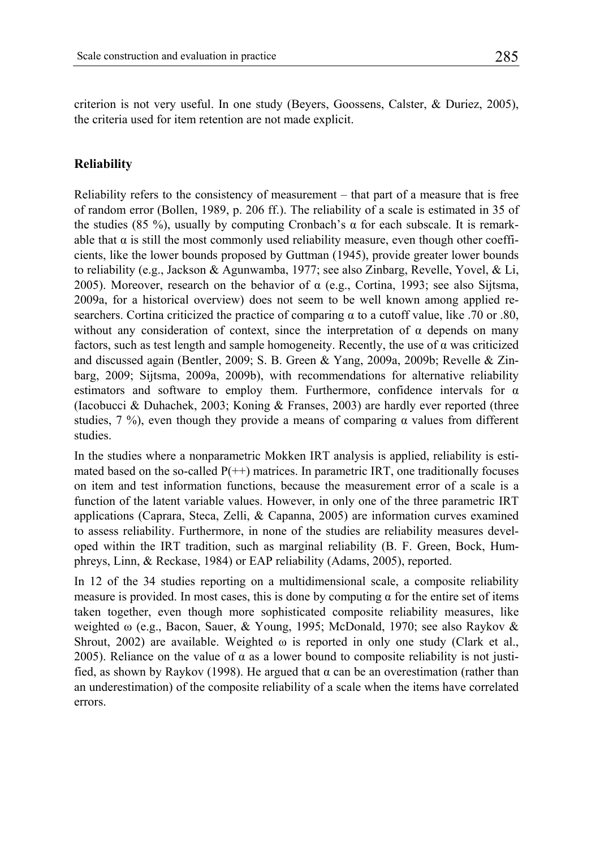criterion is not very useful. In one study (Beyers, Goossens, Calster, & Duriez, 2005), the criteria used for item retention are not made explicit.

#### **Reliability**

Reliability refers to the consistency of measurement – that part of a measure that is free of random error (Bollen, 1989, p. 206 ff.). The reliability of a scale is estimated in 35 of the studies (85 %), usually by computing Cronbach's  $\alpha$  for each subscale. It is remarkable that  $\alpha$  is still the most commonly used reliability measure, even though other coefficients, like the lower bounds proposed by Guttman (1945), provide greater lower bounds to reliability (e.g., Jackson & Agunwamba, 1977; see also Zinbarg, Revelle, Yovel, & Li, 2005). Moreover, research on the behavior of  $\alpha$  (e.g., Cortina, 1993; see also Sijtsma, 2009a, for a historical overview) does not seem to be well known among applied researchers. Cortina criticized the practice of comparing  $\alpha$  to a cutoff value, like .70 or .80, without any consideration of context, since the interpretation of  $\alpha$  depends on many factors, such as test length and sample homogeneity. Recently, the use of  $\alpha$  was criticized and discussed again (Bentler, 2009; S. B. Green & Yang, 2009a, 2009b; Revelle & Zinbarg, 2009; Sijtsma, 2009a, 2009b), with recommendations for alternative reliability estimators and software to employ them. Furthermore, confidence intervals for  $\alpha$ (Iacobucci & Duhachek, 2003; Koning & Franses, 2003) are hardly ever reported (three studies,  $7\%$ ), even though they provide a means of comparing  $\alpha$  values from different studies.

In the studies where a nonparametric Mokken IRT analysis is applied, reliability is estimated based on the so-called  $P(+)$  matrices. In parametric IRT, one traditionally focuses on item and test information functions, because the measurement error of a scale is a function of the latent variable values. However, in only one of the three parametric IRT applications (Caprara, Steca, Zelli, & Capanna, 2005) are information curves examined to assess reliability. Furthermore, in none of the studies are reliability measures developed within the IRT tradition, such as marginal reliability (B. F. Green, Bock, Humphreys, Linn, & Reckase, 1984) or EAP reliability (Adams, 2005), reported.

In 12 of the 34 studies reporting on a multidimensional scale, a composite reliability measure is provided. In most cases, this is done by computing  $\alpha$  for the entire set of items taken together, even though more sophisticated composite reliability measures, like weighted ω (e.g., Bacon, Sauer, & Young, 1995; McDonald, 1970; see also Raykov & Shrout, 2002) are available. Weighted  $\omega$  is reported in only one study (Clark et al., 2005). Reliance on the value of  $\alpha$  as a lower bound to composite reliability is not justified, as shown by Raykov (1998). He argued that α can be an overestimation (rather than an underestimation) of the composite reliability of a scale when the items have correlated errors.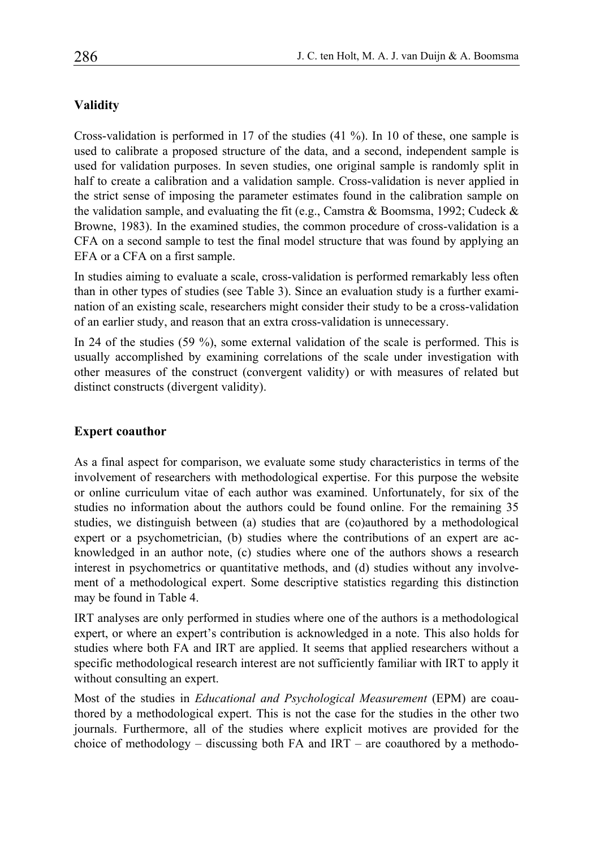#### **Validity**

Cross-validation is performed in 17 of the studies (41 %). In 10 of these, one sample is used to calibrate a proposed structure of the data, and a second, independent sample is used for validation purposes. In seven studies, one original sample is randomly split in half to create a calibration and a validation sample. Cross-validation is never applied in the strict sense of imposing the parameter estimates found in the calibration sample on the validation sample, and evaluating the fit (e.g., Camstra & Boomsma, 1992; Cudeck & Browne, 1983). In the examined studies, the common procedure of cross-validation is a CFA on a second sample to test the final model structure that was found by applying an EFA or a CFA on a first sample.

In studies aiming to evaluate a scale, cross-validation is performed remarkably less often than in other types of studies (see Table 3). Since an evaluation study is a further examination of an existing scale, researchers might consider their study to be a cross-validation of an earlier study, and reason that an extra cross-validation is unnecessary.

In 24 of the studies (59 %), some external validation of the scale is performed. This is usually accomplished by examining correlations of the scale under investigation with other measures of the construct (convergent validity) or with measures of related but distinct constructs (divergent validity).

#### **Expert coauthor**

As a final aspect for comparison, we evaluate some study characteristics in terms of the involvement of researchers with methodological expertise. For this purpose the website or online curriculum vitae of each author was examined. Unfortunately, for six of the studies no information about the authors could be found online. For the remaining 35 studies, we distinguish between (a) studies that are (co)authored by a methodological expert or a psychometrician, (b) studies where the contributions of an expert are acknowledged in an author note, (c) studies where one of the authors shows a research interest in psychometrics or quantitative methods, and (d) studies without any involvement of a methodological expert. Some descriptive statistics regarding this distinction may be found in Table 4.

IRT analyses are only performed in studies where one of the authors is a methodological expert, or where an expert's contribution is acknowledged in a note. This also holds for studies where both FA and IRT are applied. It seems that applied researchers without a specific methodological research interest are not sufficiently familiar with IRT to apply it without consulting an expert.

Most of the studies in *Educational and Psychological Measurement* (EPM) are coauthored by a methodological expert. This is not the case for the studies in the other two journals. Furthermore, all of the studies where explicit motives are provided for the choice of methodology – discussing both FA and  $IRT$  – are coauthored by a methodo-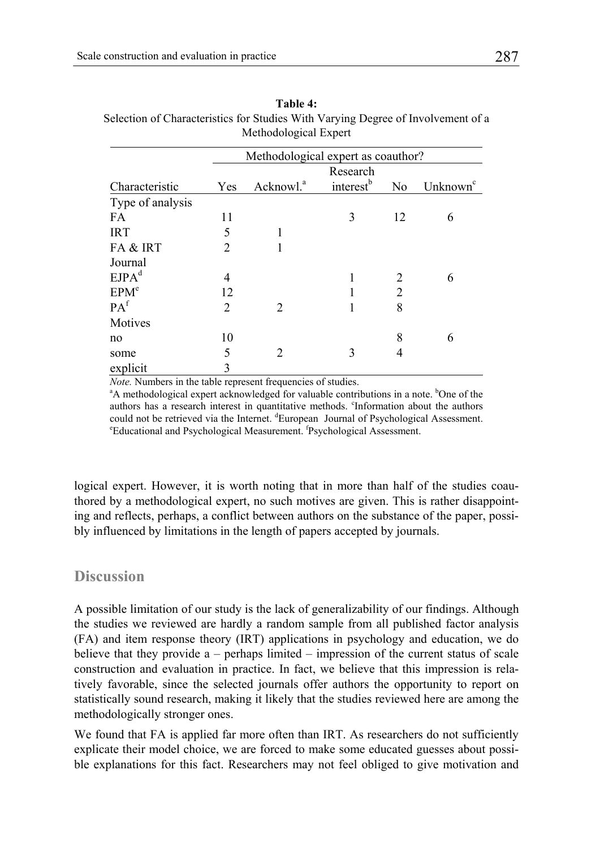| таріе 4.                                                                         |  |  |  |  |
|----------------------------------------------------------------------------------|--|--|--|--|
| Selection of Characteristics for Studies With Varying Degree of Involvement of a |  |  |  |  |
| Methodological Expert                                                            |  |  |  |  |

**Table 4:** 

|                   | Methodological expert as coauthor? |                          |                       |                |                      |
|-------------------|------------------------------------|--------------------------|-----------------------|----------------|----------------------|
| Characteristic    |                                    | Research                 |                       |                |                      |
|                   | Yes                                | Acknowl. <sup>a</sup>    | interest <sup>b</sup> | N <sub>0</sub> | Unknown <sup>c</sup> |
| Type of analysis  |                                    |                          |                       |                |                      |
| FA                | 11                                 |                          | 3                     | 12             | 6                    |
| <b>IRT</b>        | 5                                  | 1                        |                       |                |                      |
| FA & IRT          | $\mathfrak{D}$                     |                          |                       |                |                      |
| Journal           |                                    |                          |                       |                |                      |
| EJPA <sup>d</sup> | 4                                  |                          |                       |                | 6                    |
| EPM <sup>e</sup>  | 12                                 |                          |                       | $\overline{2}$ |                      |
| PA <sup>f</sup>   | $\overline{c}$                     | $\mathfrak{D}_{1}^{(1)}$ |                       | 8              |                      |
| Motives           |                                    |                          |                       |                |                      |
| no                | 10                                 |                          |                       | 8              | 6                    |
| some              | 5                                  | $\overline{c}$           | 3                     | 4              |                      |
| explicit          | 3                                  |                          |                       |                |                      |

*Note.* Numbers in the table represent frequencies of studies.

A methodological expert acknowledged for valuable contributions in a note. <sup>b</sup>One of the authors has a research interest in quantitative methods. <sup>c</sup>Information about the authors could not be retrieved via the Internet. <sup>d</sup>European Journal of Psychological Assessment.<br><sup>E</sup>Iductional and Psychological Magnument, <sup>f</sup>Psychological Assessment. Educational and Psychological Measurement. <sup>f</sup>Psychological Assessment.

logical expert. However, it is worth noting that in more than half of the studies coauthored by a methodological expert, no such motives are given. This is rather disappointing and reflects, perhaps, a conflict between authors on the substance of the paper, possibly influenced by limitations in the length of papers accepted by journals.

# **Discussion**

A possible limitation of our study is the lack of generalizability of our findings. Although the studies we reviewed are hardly a random sample from all published factor analysis (FA) and item response theory (IRT) applications in psychology and education, we do believe that they provide a – perhaps limited – impression of the current status of scale construction and evaluation in practice. In fact, we believe that this impression is relatively favorable, since the selected journals offer authors the opportunity to report on statistically sound research, making it likely that the studies reviewed here are among the methodologically stronger ones.

We found that FA is applied far more often than IRT. As researchers do not sufficiently explicate their model choice, we are forced to make some educated guesses about possible explanations for this fact. Researchers may not feel obliged to give motivation and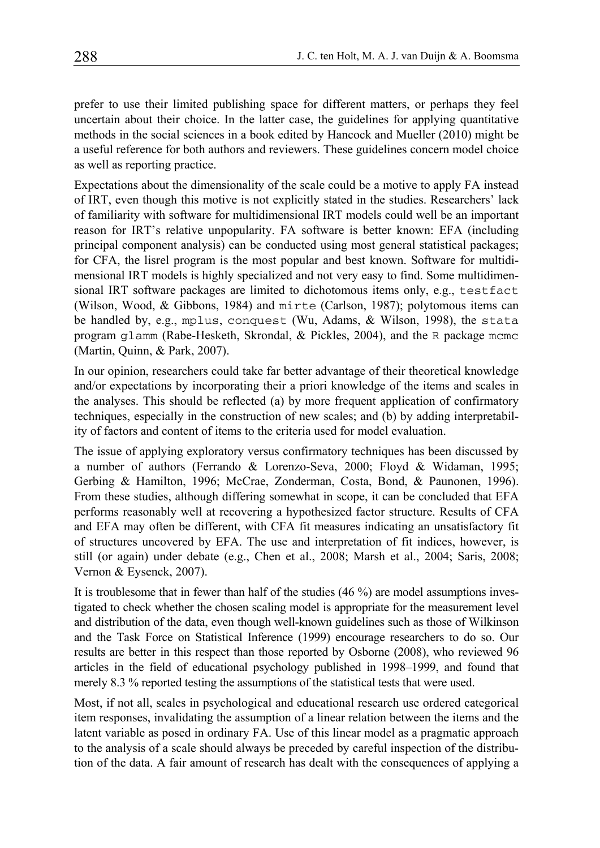prefer to use their limited publishing space for different matters, or perhaps they feel uncertain about their choice. In the latter case, the guidelines for applying quantitative methods in the social sciences in a book edited by Hancock and Mueller (2010) might be a useful reference for both authors and reviewers. These guidelines concern model choice as well as reporting practice.

Expectations about the dimensionality of the scale could be a motive to apply FA instead of IRT, even though this motive is not explicitly stated in the studies. Researchers' lack of familiarity with software for multidimensional IRT models could well be an important reason for IRT's relative unpopularity. FA software is better known: EFA (including principal component analysis) can be conducted using most general statistical packages; for CFA, the lisrel program is the most popular and best known. Software for multidimensional IRT models is highly specialized and not very easy to find. Some multidimensional IRT software packages are limited to dichotomous items only, e.g., testfact (Wilson, Wood, & Gibbons, 1984) and mirte (Carlson, 1987); polytomous items can be handled by, e.g., mplus, conquest (Wu, Adams, & Wilson, 1998), the stata program glamm (Rabe-Hesketh, Skrondal, & Pickles, 2004), and the R package mcmc (Martin, Quinn, & Park, 2007).

In our opinion, researchers could take far better advantage of their theoretical knowledge and/or expectations by incorporating their a priori knowledge of the items and scales in the analyses. This should be reflected (a) by more frequent application of confirmatory techniques, especially in the construction of new scales; and (b) by adding interpretability of factors and content of items to the criteria used for model evaluation.

The issue of applying exploratory versus confirmatory techniques has been discussed by a number of authors (Ferrando & Lorenzo-Seva, 2000; Floyd & Widaman, 1995; Gerbing & Hamilton, 1996; McCrae, Zonderman, Costa, Bond, & Paunonen, 1996). From these studies, although differing somewhat in scope, it can be concluded that EFA performs reasonably well at recovering a hypothesized factor structure. Results of CFA and EFA may often be different, with CFA fit measures indicating an unsatisfactory fit of structures uncovered by EFA. The use and interpretation of fit indices, however, is still (or again) under debate (e.g., Chen et al., 2008; Marsh et al., 2004; Saris, 2008; Vernon & Eysenck, 2007).

It is troublesome that in fewer than half of the studies (46 %) are model assumptions investigated to check whether the chosen scaling model is appropriate for the measurement level and distribution of the data, even though well-known guidelines such as those of Wilkinson and the Task Force on Statistical Inference (1999) encourage researchers to do so. Our results are better in this respect than those reported by Osborne (2008), who reviewed 96 articles in the field of educational psychology published in 1998–1999, and found that merely 8.3 % reported testing the assumptions of the statistical tests that were used.

Most, if not all, scales in psychological and educational research use ordered categorical item responses, invalidating the assumption of a linear relation between the items and the latent variable as posed in ordinary FA. Use of this linear model as a pragmatic approach to the analysis of a scale should always be preceded by careful inspection of the distribution of the data. A fair amount of research has dealt with the consequences of applying a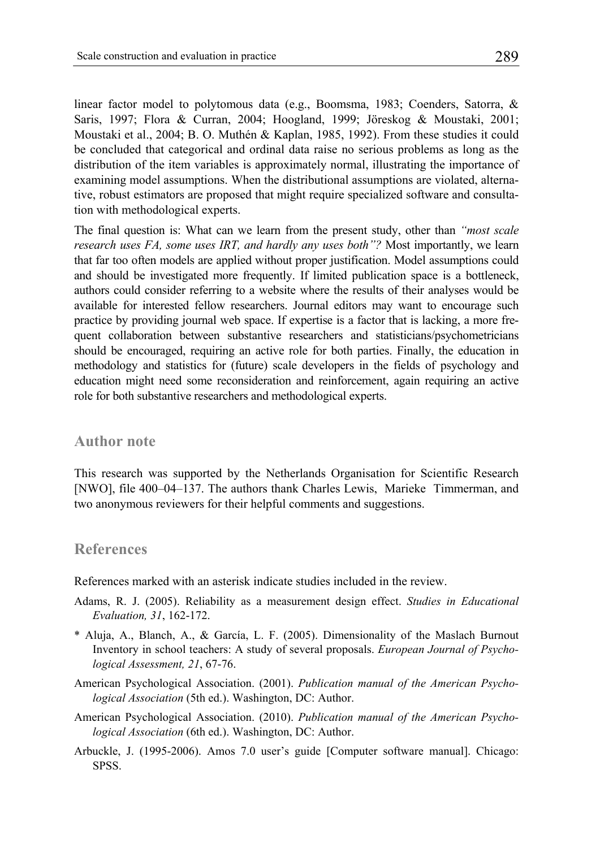linear factor model to polytomous data (e.g., Boomsma, 1983; Coenders, Satorra, & Saris, 1997; Flora & Curran, 2004; Hoogland, 1999; Jöreskog & Moustaki, 2001; Moustaki et al., 2004; B. O. Muthén & Kaplan, 1985, 1992). From these studies it could be concluded that categorical and ordinal data raise no serious problems as long as the distribution of the item variables is approximately normal, illustrating the importance of examining model assumptions. When the distributional assumptions are violated, alternative, robust estimators are proposed that might require specialized software and consultation with methodological experts.

The final question is: What can we learn from the present study, other than *"most scale research uses FA, some uses IRT, and hardly any uses both"?* Most importantly, we learn that far too often models are applied without proper justification. Model assumptions could and should be investigated more frequently. If limited publication space is a bottleneck, authors could consider referring to a website where the results of their analyses would be available for interested fellow researchers. Journal editors may want to encourage such practice by providing journal web space. If expertise is a factor that is lacking, a more frequent collaboration between substantive researchers and statisticians/psychometricians should be encouraged, requiring an active role for both parties. Finally, the education in methodology and statistics for (future) scale developers in the fields of psychology and education might need some reconsideration and reinforcement, again requiring an active role for both substantive researchers and methodological experts.

#### **Author note**

This research was supported by the Netherlands Organisation for Scientific Research [NWO], file 400–04–137. The authors thank Charles Lewis, Marieke Timmerman, and two anonymous reviewers for their helpful comments and suggestions.

#### **References**

References marked with an asterisk indicate studies included in the review.

- Adams, R. J. (2005). Reliability as a measurement design effect. *Studies in Educational Evaluation, 31*, 162-172.
- \* Aluja, A., Blanch, A., & García, L. F. (2005). Dimensionality of the Maslach Burnout Inventory in school teachers: A study of several proposals. *European Journal of Psychological Assessment, 21*, 67-76.
- American Psychological Association. (2001). *Publication manual of the American Psychological Association* (5th ed.). Washington, DC: Author.
- American Psychological Association. (2010). *Publication manual of the American Psychological Association* (6th ed.). Washington, DC: Author.
- Arbuckle, J. (1995-2006). Amos 7.0 user's guide [Computer software manual]. Chicago: SPSS.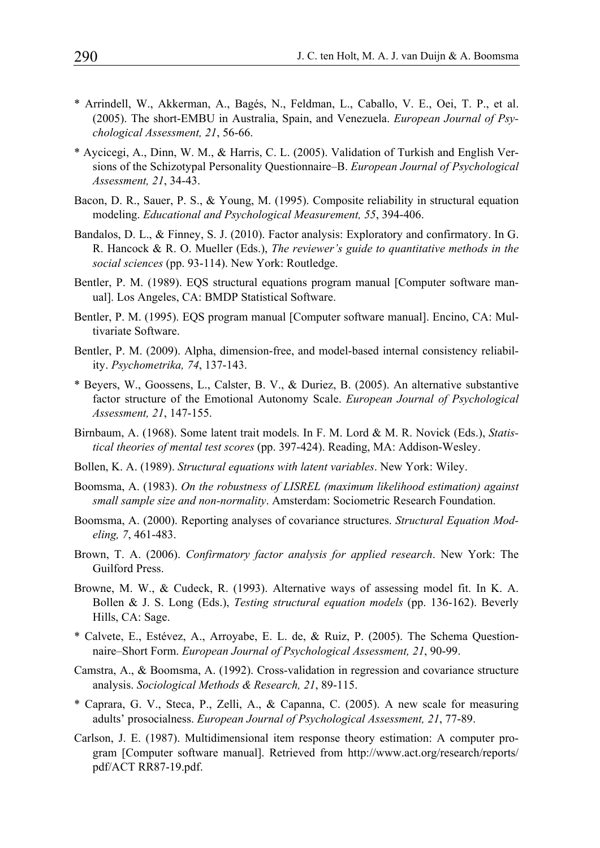- \* Arrindell, W., Akkerman, A., Bagés, N., Feldman, L., Caballo, V. E., Oei, T. P., et al. (2005). The short-EMBU in Australia, Spain, and Venezuela. *European Journal of Psychological Assessment, 21*, 56-66.
- \* Aycicegi, A., Dinn, W. M., & Harris, C. L. (2005). Validation of Turkish and English Versions of the Schizotypal Personality Questionnaire–B. *European Journal of Psychological Assessment, 21*, 34-43.
- Bacon, D. R., Sauer, P. S., & Young, M. (1995). Composite reliability in structural equation modeling. *Educational and Psychological Measurement, 55*, 394-406.
- Bandalos, D. L., & Finney, S. J. (2010). Factor analysis: Exploratory and confirmatory. In G. R. Hancock & R. O. Mueller (Eds.), *The reviewer's guide to quantitative methods in the social sciences* (pp. 93-114). New York: Routledge.
- Bentler, P. M. (1989). EQS structural equations program manual [Computer software manual]. Los Angeles, CA: BMDP Statistical Software.
- Bentler, P. M. (1995). EQS program manual [Computer software manual]. Encino, CA: Multivariate Software.
- Bentler, P. M. (2009). Alpha, dimension-free, and model-based internal consistency reliability. *Psychometrika, 74*, 137-143.
- \* Beyers, W., Goossens, L., Calster, B. V., & Duriez, B. (2005). An alternative substantive factor structure of the Emotional Autonomy Scale. *European Journal of Psychological Assessment, 21*, 147-155.
- Birnbaum, A. (1968). Some latent trait models. In F. M. Lord & M. R. Novick (Eds.), *Statistical theories of mental test scores* (pp. 397-424). Reading, MA: Addison-Wesley.
- Bollen, K. A. (1989). *Structural equations with latent variables*. New York: Wiley.
- Boomsma, A. (1983). *On the robustness of LISREL (maximum likelihood estimation) against small sample size and non-normality*. Amsterdam: Sociometric Research Foundation.
- Boomsma, A. (2000). Reporting analyses of covariance structures. *Structural Equation Modeling, 7*, 461-483.
- Brown, T. A. (2006). *Confirmatory factor analysis for applied research*. New York: The Guilford Press.
- Browne, M. W., & Cudeck, R. (1993). Alternative ways of assessing model fit. In K. A. Bollen & J. S. Long (Eds.), *Testing structural equation models* (pp. 136-162). Beverly Hills, CA: Sage.
- \* Calvete, E., Estévez, A., Arroyabe, E. L. de, & Ruiz, P. (2005). The Schema Questionnaire–Short Form. *European Journal of Psychological Assessment, 21*, 90-99.
- Camstra, A., & Boomsma, A. (1992). Cross-validation in regression and covariance structure analysis. *Sociological Methods & Research, 21*, 89-115.
- \* Caprara, G. V., Steca, P., Zelli, A., & Capanna, C. (2005). A new scale for measuring adults' prosocialness. *European Journal of Psychological Assessment, 21*, 77-89.
- Carlson, J. E. (1987). Multidimensional item response theory estimation: A computer program [Computer software manual]. Retrieved from http://www.act.org/research/reports/ pdf/ACT RR87-19.pdf.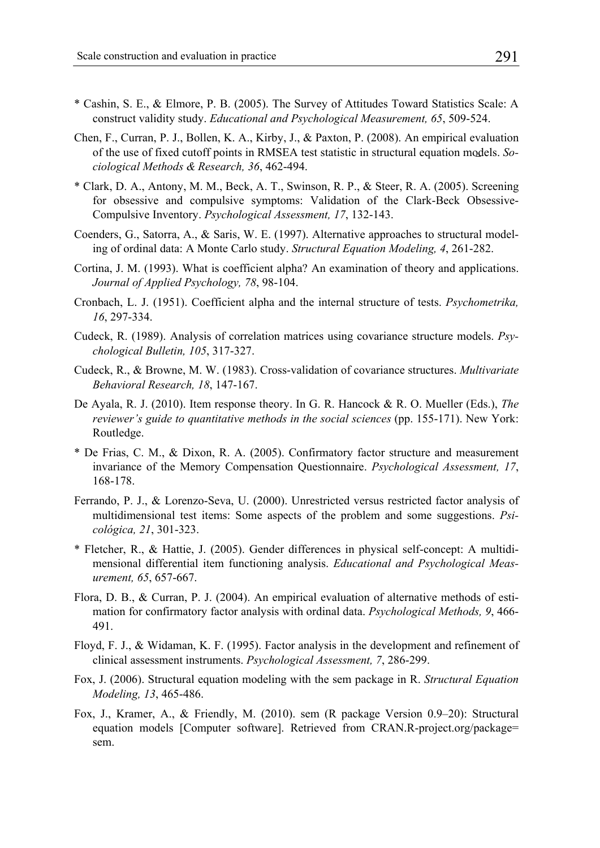- \* Cashin, S. E., & Elmore, P. B. (2005). The Survey of Attitudes Toward Statistics Scale: A construct validity study. *Educational and Psychological Measurement, 65*, 509-524.
- Chen, F., Curran, P. J., Bollen, K. A., Kirby, J., & Paxton, P. (2008). An empirical evaluation of the use of fixed cutoff points in RMSEA test statistic in structural equation models. *Sociological Methods & Research, 36*, 462-494.
- \* Clark, D. A., Antony, M. M., Beck, A. T., Swinson, R. P., & Steer, R. A. (2005). Screening for obsessive and compulsive symptoms: Validation of the Clark-Beck Obsessive-Compulsive Inventory. *Psychological Assessment, 17*, 132-143.
- Coenders, G., Satorra, A., & Saris, W. E. (1997). Alternative approaches to structural modeling of ordinal data: A Monte Carlo study. *Structural Equation Modeling, 4*, 261-282.
- Cortina, J. M. (1993). What is coefficient alpha? An examination of theory and applications. *Journal of Applied Psychology, 78*, 98-104.
- Cronbach, L. J. (1951). Coefficient alpha and the internal structure of tests. *Psychometrika, 16*, 297-334.
- Cudeck, R. (1989). Analysis of correlation matrices using covariance structure models. *Psychological Bulletin, 105*, 317-327.
- Cudeck, R., & Browne, M. W. (1983). Cross-validation of covariance structures. *Multivariate Behavioral Research, 18*, 147-167.
- De Ayala, R. J. (2010). Item response theory. In G. R. Hancock & R. O. Mueller (Eds.), *The reviewer's guide to quantitative methods in the social sciences* (pp. 155-171). New York: Routledge.
- \* De Frias, C. M., & Dixon, R. A. (2005). Confirmatory factor structure and measurement invariance of the Memory Compensation Questionnaire. *Psychological Assessment, 17*, 168-178.
- Ferrando, P. J., & Lorenzo-Seva, U. (2000). Unrestricted versus restricted factor analysis of multidimensional test items: Some aspects of the problem and some suggestions. *Psicológica, 21*, 301-323.
- \* Fletcher, R., & Hattie, J. (2005). Gender differences in physical self-concept: A multidimensional differential item functioning analysis. *Educational and Psychological Measurement, 65*, 657-667.
- Flora, D. B., & Curran, P. J. (2004). An empirical evaluation of alternative methods of estimation for confirmatory factor analysis with ordinal data. *Psychological Methods, 9*, 466- 491.
- Floyd, F. J., & Widaman, K. F. (1995). Factor analysis in the development and refinement of clinical assessment instruments. *Psychological Assessment, 7*, 286-299.
- Fox, J. (2006). Structural equation modeling with the sem package in R. *Structural Equation Modeling, 13*, 465-486.
- Fox, J., Kramer, A., & Friendly, M. (2010). sem (R package Version 0.9–20): Structural equation models [Computer software]. Retrieved from CRAN.R-project.org/package= sem.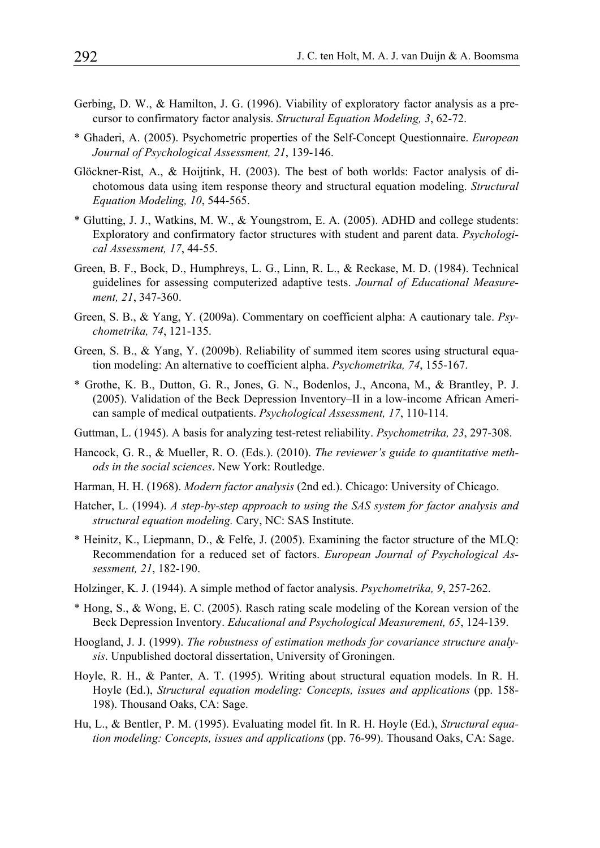- Gerbing, D. W., & Hamilton, J. G. (1996). Viability of exploratory factor analysis as a precursor to confirmatory factor analysis. *Structural Equation Modeling, 3*, 62-72.
- \* Ghaderi, A. (2005). Psychometric properties of the Self-Concept Questionnaire. *European Journal of Psychological Assessment, 21*, 139-146.
- Glöckner-Rist, A., & Hoijtink, H. (2003). The best of both worlds: Factor analysis of dichotomous data using item response theory and structural equation modeling. *Structural Equation Modeling, 10*, 544-565.
- \* Glutting, J. J., Watkins, M. W., & Youngstrom, E. A. (2005). ADHD and college students: Exploratory and confirmatory factor structures with student and parent data. *Psychological Assessment, 17*, 44-55.
- Green, B. F., Bock, D., Humphreys, L. G., Linn, R. L., & Reckase, M. D. (1984). Technical guidelines for assessing computerized adaptive tests. *Journal of Educational Measurement, 21*, 347-360.
- Green, S. B., & Yang, Y. (2009a). Commentary on coefficient alpha: A cautionary tale. *Psychometrika, 74*, 121-135.
- Green, S. B., & Yang, Y. (2009b). Reliability of summed item scores using structural equation modeling: An alternative to coefficient alpha. *Psychometrika, 74*, 155-167.
- \* Grothe, K. B., Dutton, G. R., Jones, G. N., Bodenlos, J., Ancona, M., & Brantley, P. J. (2005). Validation of the Beck Depression Inventory–II in a low-income African American sample of medical outpatients. *Psychological Assessment, 17*, 110-114.
- Guttman, L. (1945). A basis for analyzing test-retest reliability. *Psychometrika, 23*, 297-308.
- Hancock, G. R., & Mueller, R. O. (Eds.). (2010). *The reviewer's guide to quantitative methods in the social sciences*. New York: Routledge.
- Harman, H. H. (1968). *Modern factor analysis* (2nd ed.). Chicago: University of Chicago.
- Hatcher, L. (1994). *A step-by-step approach to using the SAS system for factor analysis and structural equation modeling.* Cary, NC: SAS Institute.
- \* Heinitz, K., Liepmann, D., & Felfe, J. (2005). Examining the factor structure of the MLQ: Recommendation for a reduced set of factors. *European Journal of Psychological Assessment, 21*, 182-190.
- Holzinger, K. J. (1944). A simple method of factor analysis. *Psychometrika, 9*, 257-262.
- \* Hong, S., & Wong, E. C. (2005). Rasch rating scale modeling of the Korean version of the Beck Depression Inventory. *Educational and Psychological Measurement, 65*, 124-139.
- Hoogland, J. J. (1999). *The robustness of estimation methods for covariance structure analysis*. Unpublished doctoral dissertation, University of Groningen.
- Hoyle, R. H., & Panter, A. T. (1995). Writing about structural equation models. In R. H. Hoyle (Ed.), *Structural equation modeling: Concepts, issues and applications* (pp. 158- 198). Thousand Oaks, CA: Sage.
- Hu, L., & Bentler, P. M. (1995). Evaluating model fit. In R. H. Hoyle (Ed.), *Structural equation modeling: Concepts, issues and applications* (pp. 76-99). Thousand Oaks, CA: Sage.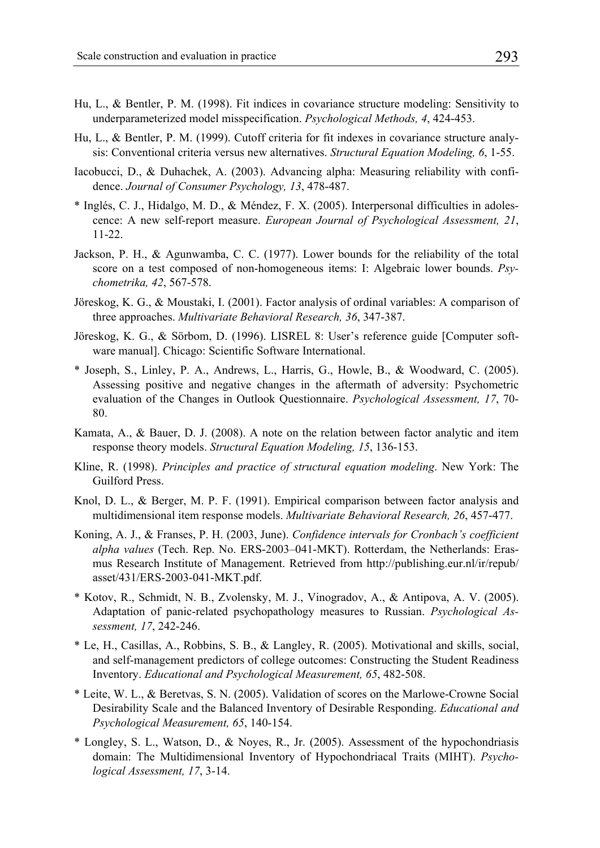- Hu, L., & Bentler, P. M. (1998). Fit indices in covariance structure modeling: Sensitivity to underparameterized model misspecification. *Psychological Methods, 4*, 424-453.
- Hu, L., & Bentler, P. M. (1999). Cutoff criteria for fit indexes in covariance structure analysis: Conventional criteria versus new alternatives. *Structural Equation Modeling, 6*, 1-55.
- Iacobucci, D., & Duhachek, A. (2003). Advancing alpha: Measuring reliability with confidence. *Journal of Consumer Psychology, 13*, 478-487.
- \* Inglés, C. J., Hidalgo, M. D., & Méndez, F. X. (2005). Interpersonal difficulties in adolescence: A new self-report measure. *European Journal of Psychological Assessment, 21*, 11-22.
- Jackson, P. H., & Agunwamba, C. C. (1977). Lower bounds for the reliability of the total score on a test composed of non-homogeneous items: I: Algebraic lower bounds. *Psychometrika, 42*, 567-578.
- Jöreskog, K. G., & Moustaki, I. (2001). Factor analysis of ordinal variables: A comparison of three approaches. *Multivariate Behavioral Research, 36*, 347-387.
- Jöreskog, K. G., & Sörbom, D. (1996). LISREL 8: User's reference guide [Computer software manual]. Chicago: Scientific Software International.
- \* Joseph, S., Linley, P. A., Andrews, L., Harris, G., Howle, B., & Woodward, C. (2005). Assessing positive and negative changes in the aftermath of adversity: Psychometric evaluation of the Changes in Outlook Questionnaire. *Psychological Assessment, 17*, 70- 80.
- Kamata, A., & Bauer, D. J. (2008). A note on the relation between factor analytic and item response theory models. *Structural Equation Modeling, 15*, 136-153.
- Kline, R. (1998). *Principles and practice of structural equation modeling*. New York: The Guilford Press.
- Knol, D. L., & Berger, M. P. F. (1991). Empirical comparison between factor analysis and multidimensional item response models. *Multivariate Behavioral Research, 26*, 457-477.
- Koning, A. J., & Franses, P. H. (2003, June). *Confidence intervals for Cronbach's coefficient alpha values* (Tech. Rep. No. ERS-2003–041-MKT). Rotterdam, the Netherlands: Erasmus Research Institute of Management. Retrieved from http://publishing.eur.nl/ir/repub/ asset/431/ERS-2003-041-MKT.pdf.
- \* Kotov, R., Schmidt, N. B., Zvolensky, M. J., Vinogradov, A., & Antipova, A. V. (2005). Adaptation of panic-related psychopathology measures to Russian. *Psychological Assessment, 17*, 242-246.
- \* Le, H., Casillas, A., Robbins, S. B., & Langley, R. (2005). Motivational and skills, social, and self-management predictors of college outcomes: Constructing the Student Readiness Inventory. *Educational and Psychological Measurement, 65*, 482-508.
- \* Leite, W. L., & Beretvas, S. N. (2005). Validation of scores on the Marlowe-Crowne Social Desirability Scale and the Balanced Inventory of Desirable Responding. *Educational and Psychological Measurement, 65*, 140-154.
- \* Longley, S. L., Watson, D., & Noyes, R., Jr. (2005). Assessment of the hypochondriasis domain: The Multidimensional Inventory of Hypochondriacal Traits (MIHT). *Psychological Assessment, 17*, 3-14.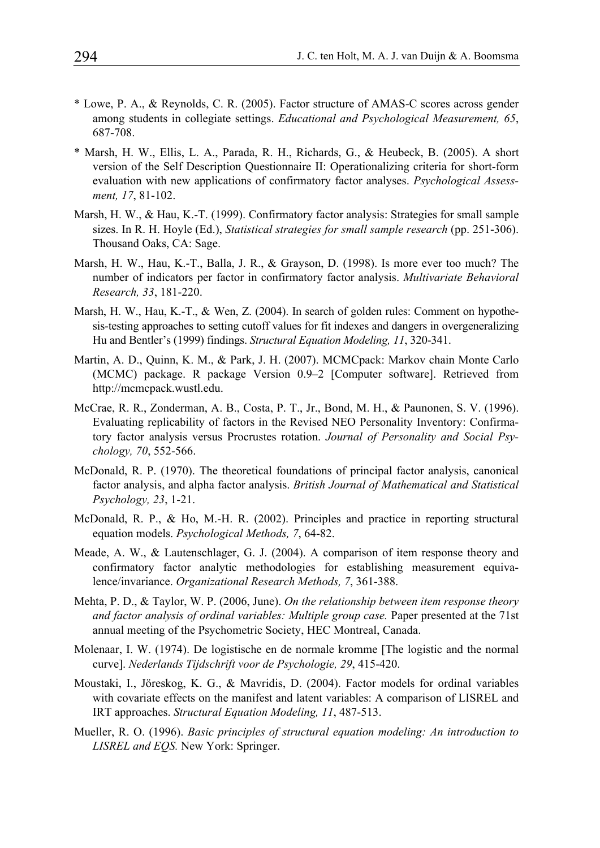- \* Lowe, P. A., & Reynolds, C. R. (2005). Factor structure of AMAS-C scores across gender among students in collegiate settings. *Educational and Psychological Measurement, 65*, 687-708.
- \* Marsh, H. W., Ellis, L. A., Parada, R. H., Richards, G., & Heubeck, B. (2005). A short version of the Self Description Questionnaire II: Operationalizing criteria for short-form evaluation with new applications of confirmatory factor analyses. *Psychological Assessment, 17*, 81-102.
- Marsh, H. W., & Hau, K.-T. (1999). Confirmatory factor analysis: Strategies for small sample sizes. In R. H. Hoyle (Ed.), *Statistical strategies for small sample research* (pp. 251-306). Thousand Oaks, CA: Sage.
- Marsh, H. W., Hau, K.-T., Balla, J. R., & Grayson, D. (1998). Is more ever too much? The number of indicators per factor in confirmatory factor analysis. *Multivariate Behavioral Research, 33*, 181-220.
- Marsh, H. W., Hau, K.-T., & Wen, Z. (2004). In search of golden rules: Comment on hypothesis-testing approaches to setting cutoff values for fit indexes and dangers in overgeneralizing Hu and Bentler's (1999) findings. *Structural Equation Modeling, 11*, 320-341.
- Martin, A. D., Quinn, K. M., & Park, J. H. (2007). MCMCpack: Markov chain Monte Carlo (MCMC) package. R package Version 0.9–2 [Computer software]. Retrieved from http://mcmcpack.wustl.edu.
- McCrae, R. R., Zonderman, A. B., Costa, P. T., Jr., Bond, M. H., & Paunonen, S. V. (1996). Evaluating replicability of factors in the Revised NEO Personality Inventory: Confirmatory factor analysis versus Procrustes rotation. *Journal of Personality and Social Psychology, 70*, 552-566.
- McDonald, R. P. (1970). The theoretical foundations of principal factor analysis, canonical factor analysis, and alpha factor analysis. *British Journal of Mathematical and Statistical Psychology, 23*, 1-21.
- McDonald, R. P., & Ho, M.-H. R. (2002). Principles and practice in reporting structural equation models. *Psychological Methods, 7*, 64-82.
- Meade, A. W., & Lautenschlager, G. J. (2004). A comparison of item response theory and confirmatory factor analytic methodologies for establishing measurement equivalence/invariance. *Organizational Research Methods, 7*, 361-388.
- Mehta, P. D., & Taylor, W. P. (2006, June). *On the relationship between item response theory and factor analysis of ordinal variables: Multiple group case.* Paper presented at the 71st annual meeting of the Psychometric Society, HEC Montreal, Canada.
- Molenaar, I. W. (1974). De logistische en de normale kromme [The logistic and the normal curve]. *Nederlands Tijdschrift voor de Psychologie, 29*, 415-420.
- Moustaki, I., Jöreskog, K. G., & Mavridis, D. (2004). Factor models for ordinal variables with covariate effects on the manifest and latent variables: A comparison of LISREL and IRT approaches. *Structural Equation Modeling, 11*, 487-513.
- Mueller, R. O. (1996). *Basic principles of structural equation modeling: An introduction to LISREL and EQS.* New York: Springer.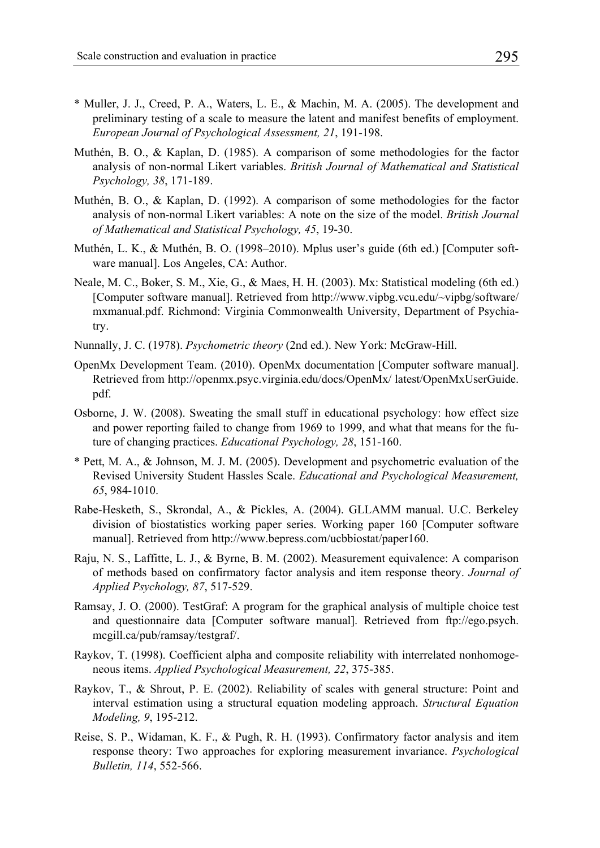- \* Muller, J. J., Creed, P. A., Waters, L. E., & Machin, M. A. (2005). The development and preliminary testing of a scale to measure the latent and manifest benefits of employment. *European Journal of Psychological Assessment, 21*, 191-198.
- Muthén, B. O., & Kaplan, D. (1985). A comparison of some methodologies for the factor analysis of non-normal Likert variables. *British Journal of Mathematical and Statistical Psychology, 38*, 171-189.
- Muthén, B. O., & Kaplan, D. (1992). A comparison of some methodologies for the factor analysis of non-normal Likert variables: A note on the size of the model. *British Journal of Mathematical and Statistical Psychology, 45*, 19-30.
- Muthén, L. K., & Muthén, B. O. (1998–2010). Mplus user's guide (6th ed.) [Computer software manual]. Los Angeles, CA: Author.
- Neale, M. C., Boker, S. M., Xie, G., & Maes, H. H. (2003). Mx: Statistical modeling (6th ed.) [Computer software manual]. Retrieved from http://www.vipbg.vcu.edu/~vipbg/software/ mxmanual.pdf. Richmond: Virginia Commonwealth University, Department of Psychiatry.
- Nunnally, J. C. (1978). *Psychometric theory* (2nd ed.). New York: McGraw-Hill.
- OpenMx Development Team. (2010). OpenMx documentation [Computer software manual]. Retrieved from http://openmx.psyc.virginia.edu/docs/OpenMx/ latest/OpenMxUserGuide. pdf.
- Osborne, J. W. (2008). Sweating the small stuff in educational psychology: how effect size and power reporting failed to change from 1969 to 1999, and what that means for the future of changing practices. *Educational Psychology, 28*, 151-160.
- \* Pett, M. A., & Johnson, M. J. M. (2005). Development and psychometric evaluation of the Revised University Student Hassles Scale. *Educational and Psychological Measurement, 65*, 984-1010.
- Rabe-Hesketh, S., Skrondal, A., & Pickles, A. (2004). GLLAMM manual. U.C. Berkeley division of biostatistics working paper series. Working paper 160 [Computer software manual]. Retrieved from http://www.bepress.com/ucbbiostat/paper160.
- Raju, N. S., Laffitte, L. J., & Byrne, B. M. (2002). Measurement equivalence: A comparison of methods based on confirmatory factor analysis and item response theory. *Journal of Applied Psychology, 87*, 517-529.
- Ramsay, J. O. (2000). TestGraf: A program for the graphical analysis of multiple choice test and questionnaire data [Computer software manual]. Retrieved from ftp://ego.psych. mcgill.ca/pub/ramsay/testgraf/.
- Raykov, T. (1998). Coefficient alpha and composite reliability with interrelated nonhomogeneous items. *Applied Psychological Measurement, 22*, 375-385.
- Raykov, T., & Shrout, P. E. (2002). Reliability of scales with general structure: Point and interval estimation using a structural equation modeling approach. *Structural Equation Modeling, 9*, 195-212.
- Reise, S. P., Widaman, K. F., & Pugh, R. H. (1993). Confirmatory factor analysis and item response theory: Two approaches for exploring measurement invariance. *Psychological Bulletin, 114*, 552-566.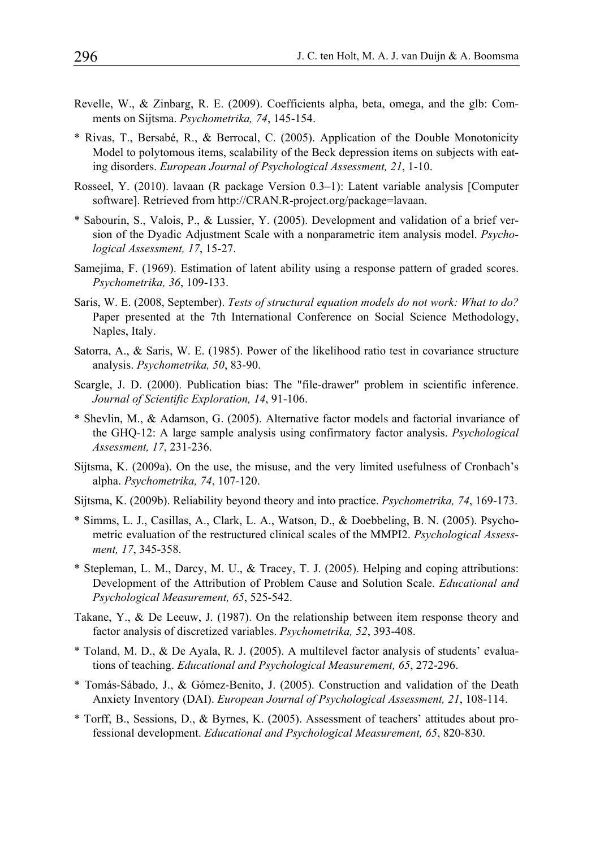- Revelle, W., & Zinbarg, R. E. (2009). Coefficients alpha, beta, omega, and the glb: Comments on Sijtsma. *Psychometrika, 74*, 145-154.
- \* Rivas, T., Bersabé, R., & Berrocal, C. (2005). Application of the Double Monotonicity Model to polytomous items, scalability of the Beck depression items on subjects with eating disorders. *European Journal of Psychological Assessment, 21*, 1-10.
- Rosseel, Y. (2010). lavaan (R package Version 0.3–1): Latent variable analysis [Computer software]. Retrieved from http://CRAN.R-project.org/package=lavaan.
- \* Sabourin, S., Valois, P., & Lussier, Y. (2005). Development and validation of a brief version of the Dyadic Adjustment Scale with a nonparametric item analysis model. *Psychological Assessment, 17*, 15-27.
- Samejima, F. (1969). Estimation of latent ability using a response pattern of graded scores. *Psychometrika, 36*, 109-133.
- Saris, W. E. (2008, September). *Tests of structural equation models do not work: What to do?*  Paper presented at the 7th International Conference on Social Science Methodology, Naples, Italy.
- Satorra, A., & Saris, W. E. (1985). Power of the likelihood ratio test in covariance structure analysis. *Psychometrika, 50*, 83-90.
- Scargle, J. D. (2000). Publication bias: The "file-drawer" problem in scientific inference. *Journal of Scientific Exploration, 14*, 91-106.
- \* Shevlin, M., & Adamson, G. (2005). Alternative factor models and factorial invariance of the GHQ-12: A large sample analysis using confirmatory factor analysis. *Psychological Assessment, 17*, 231-236.
- Sijtsma, K. (2009a). On the use, the misuse, and the very limited usefulness of Cronbach's alpha. *Psychometrika, 74*, 107-120.
- Sijtsma, K. (2009b). Reliability beyond theory and into practice. *Psychometrika, 74*, 169-173.
- \* Simms, L. J., Casillas, A., Clark, L. A., Watson, D., & Doebbeling, B. N. (2005). Psychometric evaluation of the restructured clinical scales of the MMPI2. *Psychological Assessment, 17*, 345-358.
- \* Stepleman, L. M., Darcy, M. U., & Tracey, T. J. (2005). Helping and coping attributions: Development of the Attribution of Problem Cause and Solution Scale. *Educational and Psychological Measurement, 65*, 525-542.
- Takane, Y., & De Leeuw, J. (1987). On the relationship between item response theory and factor analysis of discretized variables. *Psychometrika, 52*, 393-408.
- \* Toland, M. D., & De Ayala, R. J. (2005). A multilevel factor analysis of students' evaluations of teaching. *Educational and Psychological Measurement, 65*, 272-296.
- \* Tomás-Sábado, J., & Gómez-Benito, J. (2005). Construction and validation of the Death Anxiety Inventory (DAI). *European Journal of Psychological Assessment, 21*, 108-114.
- \* Torff, B., Sessions, D., & Byrnes, K. (2005). Assessment of teachers' attitudes about professional development. *Educational and Psychological Measurement, 65*, 820-830.